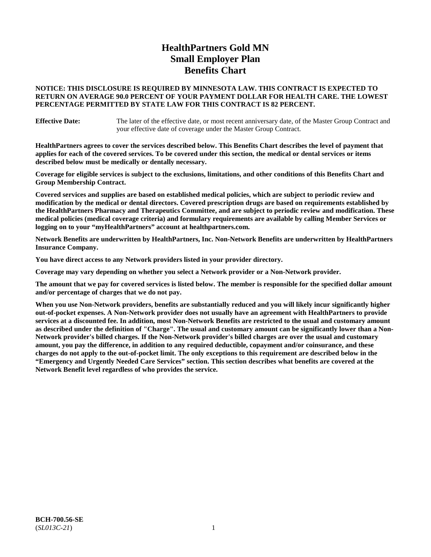# **HealthPartners Gold MN Small Employer Plan Benefits Chart**

# **NOTICE: THIS DISCLOSURE IS REQUIRED BY MINNESOTA LAW. THIS CONTRACT IS EXPECTED TO RETURN ON AVERAGE 90.0 PERCENT OF YOUR PAYMENT DOLLAR FOR HEALTH CARE. THE LOWEST PERCENTAGE PERMITTED BY STATE LAW FOR THIS CONTRACT IS 82 PERCENT.**

**Effective Date:** The later of the effective date, or most recent anniversary date, of the Master Group Contract and your effective date of coverage under the Master Group Contract.

**HealthPartners agrees to cover the services described below. This Benefits Chart describes the level of payment that applies for each of the covered services. To be covered under this section, the medical or dental services or items described below must be medically or dentally necessary.**

**Coverage for eligible services is subject to the exclusions, limitations, and other conditions of this Benefits Chart and Group Membership Contract.**

**Covered services and supplies are based on established medical policies, which are subject to periodic review and modification by the medical or dental directors. Covered prescription drugs are based on requirements established by the HealthPartners Pharmacy and Therapeutics Committee, and are subject to periodic review and modification. These medical policies (medical coverage criteria) and formulary requirements are available by calling Member Services or logging on to your "myHealthPartners" account at [healthpartners.com.](https://www.healthpartners.com/hp/index.html)**

**Network Benefits are underwritten by HealthPartners, Inc. Non-Network Benefits are underwritten by HealthPartners Insurance Company.** 

**You have direct access to any Network providers listed in your provider directory.**

**Coverage may vary depending on whether you select a Network provider or a Non-Network provider.**

**The amount that we pay for covered services is listed below. The member is responsible for the specified dollar amount and/or percentage of charges that we do not pay.**

**When you use Non-Network providers, benefits are substantially reduced and you will likely incur significantly higher out-of-pocket expenses. A Non-Network provider does not usually have an agreement with HealthPartners to provide services at a discounted fee. In addition, most Non-Network Benefits are restricted to the usual and customary amount as described under the definition of "Charge". The usual and customary amount can be significantly lower than a Non-Network provider's billed charges. If the Non-Network provider's billed charges are over the usual and customary amount, you pay the difference, in addition to any required deductible, copayment and/or coinsurance, and these charges do not apply to the out-of-pocket limit. The only exceptions to this requirement are described below in the "Emergency and Urgently Needed Care Services" section. This section describes what benefits are covered at the Network Benefit level regardless of who provides the service.**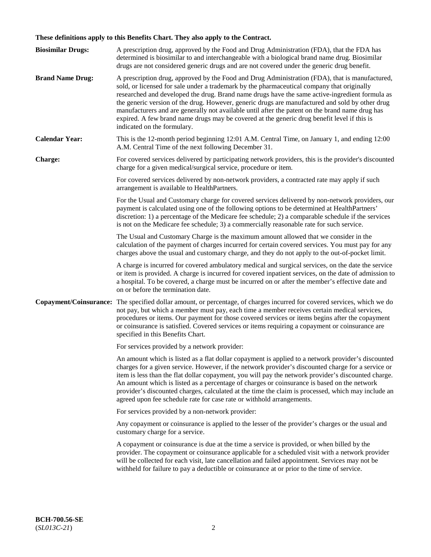# **These definitions apply to this Benefits Chart. They also apply to the Contract.**

| <b>Biosimilar Drugs:</b> | A prescription drug, approved by the Food and Drug Administration (FDA), that the FDA has<br>determined is biosimilar to and interchangeable with a biological brand name drug. Biosimilar<br>drugs are not considered generic drugs and are not covered under the generic drug benefit.                                                                                                                                                                                                                                                                                                                                           |
|--------------------------|------------------------------------------------------------------------------------------------------------------------------------------------------------------------------------------------------------------------------------------------------------------------------------------------------------------------------------------------------------------------------------------------------------------------------------------------------------------------------------------------------------------------------------------------------------------------------------------------------------------------------------|
| <b>Brand Name Drug:</b>  | A prescription drug, approved by the Food and Drug Administration (FDA), that is manufactured,<br>sold, or licensed for sale under a trademark by the pharmaceutical company that originally<br>researched and developed the drug. Brand name drugs have the same active-ingredient formula as<br>the generic version of the drug. However, generic drugs are manufactured and sold by other drug<br>manufacturers and are generally not available until after the patent on the brand name drug has<br>expired. A few brand name drugs may be covered at the generic drug benefit level if this is<br>indicated on the formulary. |
| <b>Calendar Year:</b>    | This is the 12-month period beginning 12:01 A.M. Central Time, on January 1, and ending 12:00<br>A.M. Central Time of the next following December 31.                                                                                                                                                                                                                                                                                                                                                                                                                                                                              |
| <b>Charge:</b>           | For covered services delivered by participating network providers, this is the provider's discounted<br>charge for a given medical/surgical service, procedure or item.                                                                                                                                                                                                                                                                                                                                                                                                                                                            |
|                          | For covered services delivered by non-network providers, a contracted rate may apply if such<br>arrangement is available to HealthPartners.                                                                                                                                                                                                                                                                                                                                                                                                                                                                                        |
|                          | For the Usual and Customary charge for covered services delivered by non-network providers, our<br>payment is calculated using one of the following options to be determined at HealthPartners'<br>discretion: 1) a percentage of the Medicare fee schedule; 2) a comparable schedule if the services<br>is not on the Medicare fee schedule; 3) a commercially reasonable rate for such service.                                                                                                                                                                                                                                  |
|                          | The Usual and Customary Charge is the maximum amount allowed that we consider in the<br>calculation of the payment of charges incurred for certain covered services. You must pay for any<br>charges above the usual and customary charge, and they do not apply to the out-of-pocket limit.                                                                                                                                                                                                                                                                                                                                       |
|                          | A charge is incurred for covered ambulatory medical and surgical services, on the date the service<br>or item is provided. A charge is incurred for covered inpatient services, on the date of admission to<br>a hospital. To be covered, a charge must be incurred on or after the member's effective date and<br>on or before the termination date.                                                                                                                                                                                                                                                                              |
| Copayment/Coinsurance:   | The specified dollar amount, or percentage, of charges incurred for covered services, which we do<br>not pay, but which a member must pay, each time a member receives certain medical services,<br>procedures or items. Our payment for those covered services or items begins after the copayment<br>or coinsurance is satisfied. Covered services or items requiring a copayment or coinsurance are<br>specified in this Benefits Chart.                                                                                                                                                                                        |
|                          | For services provided by a network provider:                                                                                                                                                                                                                                                                                                                                                                                                                                                                                                                                                                                       |
|                          | An amount which is listed as a flat dollar copayment is applied to a network provider's discounted<br>charges for a given service. However, if the network provider's discounted charge for a service or<br>item is less than the flat dollar copayment, you will pay the network provider's discounted charge.<br>An amount which is listed as a percentage of charges or coinsurance is based on the network<br>provider's discounted charges, calculated at the time the claim is processed, which may include an<br>agreed upon fee schedule rate for case rate or withhold arrangements.                                      |
|                          | For services provided by a non-network provider:                                                                                                                                                                                                                                                                                                                                                                                                                                                                                                                                                                                   |
|                          | Any copayment or coinsurance is applied to the lesser of the provider's charges or the usual and<br>customary charge for a service.                                                                                                                                                                                                                                                                                                                                                                                                                                                                                                |
|                          | A copayment or coinsurance is due at the time a service is provided, or when billed by the<br>provider. The copayment or coinsurance applicable for a scheduled visit with a network provider<br>will be collected for each visit, late cancellation and failed appointment. Services may not be<br>withheld for failure to pay a deductible or coinsurance at or prior to the time of service.                                                                                                                                                                                                                                    |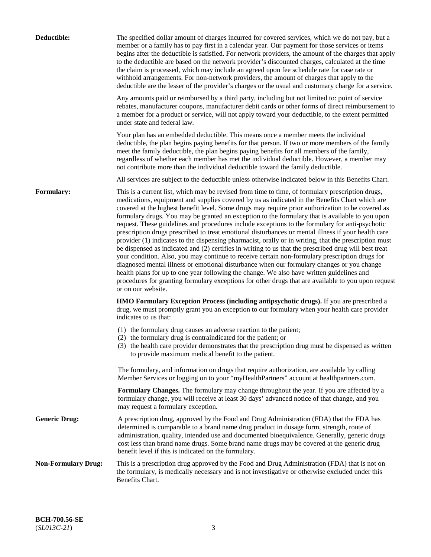| Deductible:                | The specified dollar amount of charges incurred for covered services, which we do not pay, but a<br>member or a family has to pay first in a calendar year. Our payment for those services or items<br>begins after the deductible is satisfied. For network providers, the amount of the charges that apply<br>to the deductible are based on the network provider's discounted charges, calculated at the time<br>the claim is processed, which may include an agreed upon fee schedule rate for case rate or<br>withhold arrangements. For non-network providers, the amount of charges that apply to the<br>deductible are the lesser of the provider's charges or the usual and customary charge for a service.                                                                                                                                                                                                                                                                                                                                                                                                                                                                                                                                             |
|----------------------------|------------------------------------------------------------------------------------------------------------------------------------------------------------------------------------------------------------------------------------------------------------------------------------------------------------------------------------------------------------------------------------------------------------------------------------------------------------------------------------------------------------------------------------------------------------------------------------------------------------------------------------------------------------------------------------------------------------------------------------------------------------------------------------------------------------------------------------------------------------------------------------------------------------------------------------------------------------------------------------------------------------------------------------------------------------------------------------------------------------------------------------------------------------------------------------------------------------------------------------------------------------------|
|                            | Any amounts paid or reimbursed by a third party, including but not limited to: point of service<br>rebates, manufacturer coupons, manufacturer debit cards or other forms of direct reimbursement to<br>a member for a product or service, will not apply toward your deductible, to the extent permitted<br>under state and federal law.                                                                                                                                                                                                                                                                                                                                                                                                                                                                                                                                                                                                                                                                                                                                                                                                                                                                                                                        |
|                            | Your plan has an embedded deductible. This means once a member meets the individual<br>deductible, the plan begins paying benefits for that person. If two or more members of the family<br>meet the family deductible, the plan begins paying benefits for all members of the family,<br>regardless of whether each member has met the individual deductible. However, a member may<br>not contribute more than the individual deductible toward the family deductible.                                                                                                                                                                                                                                                                                                                                                                                                                                                                                                                                                                                                                                                                                                                                                                                         |
|                            | All services are subject to the deductible unless otherwise indicated below in this Benefits Chart.                                                                                                                                                                                                                                                                                                                                                                                                                                                                                                                                                                                                                                                                                                                                                                                                                                                                                                                                                                                                                                                                                                                                                              |
| Formulary:                 | This is a current list, which may be revised from time to time, of formulary prescription drugs,<br>medications, equipment and supplies covered by us as indicated in the Benefits Chart which are<br>covered at the highest benefit level. Some drugs may require prior authorization to be covered as<br>formulary drugs. You may be granted an exception to the formulary that is available to you upon<br>request. These guidelines and procedures include exceptions to the formulary for anti-psychotic<br>prescription drugs prescribed to treat emotional disturbances or mental illness if your health care<br>provider (1) indicates to the dispensing pharmacist, orally or in writing, that the prescription must<br>be dispensed as indicated and (2) certifies in writing to us that the prescribed drug will best treat<br>your condition. Also, you may continue to receive certain non-formulary prescription drugs for<br>diagnosed mental illness or emotional disturbance when our formulary changes or you change<br>health plans for up to one year following the change. We also have written guidelines and<br>procedures for granting formulary exceptions for other drugs that are available to you upon request<br>or on our website. |
|                            | <b>HMO Formulary Exception Process (including antipsychotic drugs).</b> If you are prescribed a<br>drug, we must promptly grant you an exception to our formulary when your health care provider<br>indicates to us that:                                                                                                                                                                                                                                                                                                                                                                                                                                                                                                                                                                                                                                                                                                                                                                                                                                                                                                                                                                                                                                        |
|                            | (1) the formulary drug causes an adverse reaction to the patient;<br>(2) the formulary drug is contraindicated for the patient; or<br>(3) the health care provider demonstrates that the prescription drug must be dispensed as written<br>to provide maximum medical benefit to the patient.                                                                                                                                                                                                                                                                                                                                                                                                                                                                                                                                                                                                                                                                                                                                                                                                                                                                                                                                                                    |
|                            | The formulary, and information on drugs that require authorization, are available by calling<br>Member Services or logging on to your "myHealthPartners" account at healthpartners.com.                                                                                                                                                                                                                                                                                                                                                                                                                                                                                                                                                                                                                                                                                                                                                                                                                                                                                                                                                                                                                                                                          |
|                            | Formulary Changes. The formulary may change throughout the year. If you are affected by a<br>formulary change, you will receive at least 30 days' advanced notice of that change, and you<br>may request a formulary exception.                                                                                                                                                                                                                                                                                                                                                                                                                                                                                                                                                                                                                                                                                                                                                                                                                                                                                                                                                                                                                                  |
| <b>Generic Drug:</b>       | A prescription drug, approved by the Food and Drug Administration (FDA) that the FDA has<br>determined is comparable to a brand name drug product in dosage form, strength, route of<br>administration, quality, intended use and documented bioequivalence. Generally, generic drugs<br>cost less than brand name drugs. Some brand name drugs may be covered at the generic drug<br>benefit level if this is indicated on the formulary.                                                                                                                                                                                                                                                                                                                                                                                                                                                                                                                                                                                                                                                                                                                                                                                                                       |
| <b>Non-Formulary Drug:</b> | This is a prescription drug approved by the Food and Drug Administration (FDA) that is not on<br>the formulary, is medically necessary and is not investigative or otherwise excluded under this<br>Benefits Chart.                                                                                                                                                                                                                                                                                                                                                                                                                                                                                                                                                                                                                                                                                                                                                                                                                                                                                                                                                                                                                                              |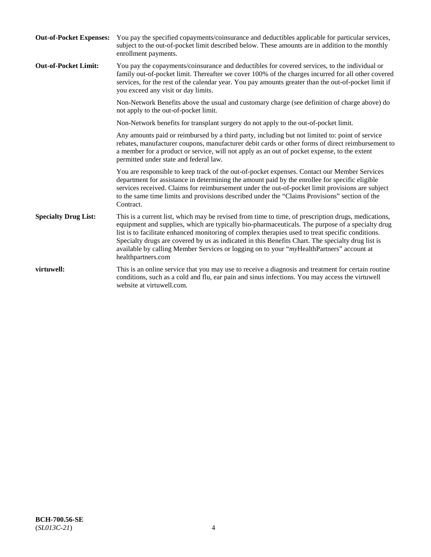| <b>Out-of-Pocket Expenses:</b> | You pay the specified copayments/coinsurance and deductibles applicable for particular services,<br>subject to the out-of-pocket limit described below. These amounts are in addition to the monthly<br>enrollment payments.                                                                                                                                                                                                                                                                                                        |
|--------------------------------|-------------------------------------------------------------------------------------------------------------------------------------------------------------------------------------------------------------------------------------------------------------------------------------------------------------------------------------------------------------------------------------------------------------------------------------------------------------------------------------------------------------------------------------|
| <b>Out-of-Pocket Limit:</b>    | You pay the copayments/coinsurance and deductibles for covered services, to the individual or<br>family out-of-pocket limit. Thereafter we cover 100% of the charges incurred for all other covered<br>services, for the rest of the calendar year. You pay amounts greater than the out-of-pocket limit if<br>you exceed any visit or day limits.                                                                                                                                                                                  |
|                                | Non-Network Benefits above the usual and customary charge (see definition of charge above) do<br>not apply to the out-of-pocket limit.                                                                                                                                                                                                                                                                                                                                                                                              |
|                                | Non-Network benefits for transplant surgery do not apply to the out-of-pocket limit.                                                                                                                                                                                                                                                                                                                                                                                                                                                |
|                                | Any amounts paid or reimbursed by a third party, including but not limited to: point of service<br>rebates, manufacturer coupons, manufacturer debit cards or other forms of direct reimbursement to<br>a member for a product or service, will not apply as an out of pocket expense, to the extent<br>permitted under state and federal law.                                                                                                                                                                                      |
|                                | You are responsible to keep track of the out-of-pocket expenses. Contact our Member Services<br>department for assistance in determining the amount paid by the enrollee for specific eligible<br>services received. Claims for reimbursement under the out-of-pocket limit provisions are subject<br>to the same time limits and provisions described under the "Claims Provisions" section of the<br>Contract.                                                                                                                    |
| <b>Specialty Drug List:</b>    | This is a current list, which may be revised from time to time, of prescription drugs, medications,<br>equipment and supplies, which are typically bio-pharmaceuticals. The purpose of a specialty drug<br>list is to facilitate enhanced monitoring of complex therapies used to treat specific conditions.<br>Specialty drugs are covered by us as indicated in this Benefits Chart. The specialty drug list is<br>available by calling Member Services or logging on to your "myHealthPartners" account at<br>healthpartners.com |
| virtuwell:                     | This is an online service that you may use to receive a diagnosis and treatment for certain routine<br>conditions, such as a cold and flu, ear pain and sinus infections. You may access the virtuwell<br>website at virtuwell.com.                                                                                                                                                                                                                                                                                                 |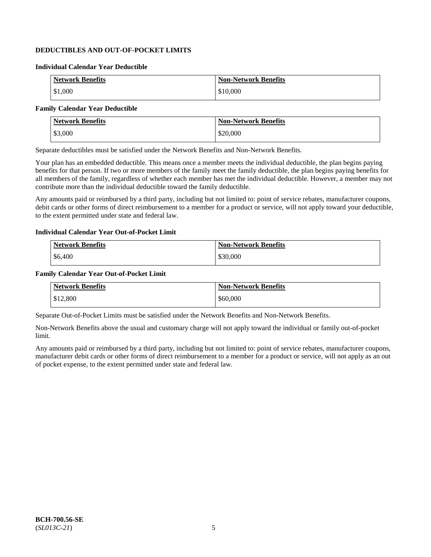# **DEDUCTIBLES AND OUT-OF-POCKET LIMITS**

### **Individual Calendar Year Deductible**

| <b>Network Benefits</b> | <b>Non-Network Benefits</b> |
|-------------------------|-----------------------------|
| \$1,000                 | \$10,000                    |

# **Family Calendar Year Deductible**

| <b>Network Benefits</b> | <b>Non-Network Benefits</b> |
|-------------------------|-----------------------------|
| \$3,000                 | \$20,000                    |

Separate deductibles must be satisfied under the Network Benefits and Non-Network Benefits.

Your plan has an embedded deductible. This means once a member meets the individual deductible, the plan begins paying benefits for that person. If two or more members of the family meet the family deductible, the plan begins paying benefits for all members of the family, regardless of whether each member has met the individual deductible. However, a member may not contribute more than the individual deductible toward the family deductible.

Any amounts paid or reimbursed by a third party, including but not limited to: point of service rebates, manufacturer coupons, debit cards or other forms of direct reimbursement to a member for a product or service, will not apply toward your deductible, to the extent permitted under state and federal law.

#### **Individual Calendar Year Out-of-Pocket Limit**

| <b>Network Benefits</b> | <b>Non-Network Benefits</b> |
|-------------------------|-----------------------------|
| \$6,400                 | \$30,000                    |

#### **Family Calendar Year Out-of-Pocket Limit**

| <b>Network Benefits</b> | <b>Non-Network Benefits</b> |
|-------------------------|-----------------------------|
| \$12,800                | \$60,000                    |

Separate Out-of-Pocket Limits must be satisfied under the Network Benefits and Non-Network Benefits.

Non-Network Benefits above the usual and customary charge will not apply toward the individual or family out-of-pocket limit.

Any amounts paid or reimbursed by a third party, including but not limited to: point of service rebates, manufacturer coupons, manufacturer debit cards or other forms of direct reimbursement to a member for a product or service, will not apply as an out of pocket expense, to the extent permitted under state and federal law.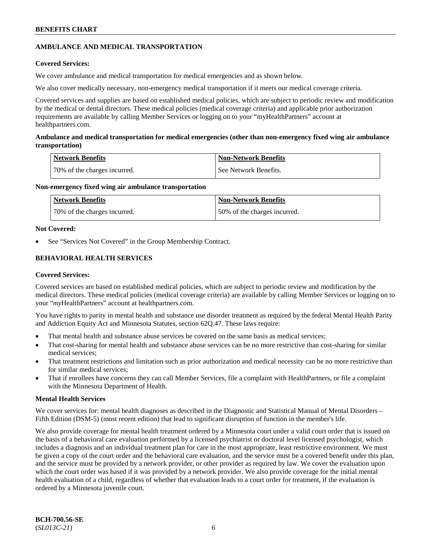# **AMBULANCE AND MEDICAL TRANSPORTATION**

# **Covered Services:**

We cover ambulance and medical transportation for medical emergencies and as shown below.

We also cover medically necessary, non-emergency medical transportation if it meets our medical coverage criteria.

Covered services and supplies are based on established medical policies, which are subject to periodic review and modification by the medical or dental directors. These medical policies (medical coverage criteria) and applicable prior authorization requirements are available by calling Member Services or logging on to your "myHealthPartners" account at [healthpartners.com.](https://www.healthpartners.com/hp/index.html)

# **Ambulance and medical transportation for medical emergencies (other than non-emergency fixed wing air ambulance transportation)**

| Network Benefits             | <b>Non-Network Benefits</b> |
|------------------------------|-----------------------------|
| 70% of the charges incurred. | See Network Benefits.       |

# **Non-emergency fixed wing air ambulance transportation**

| Network Benefits             | <b>Non-Network Benefits</b>  |
|------------------------------|------------------------------|
| 70% of the charges incurred. | 50% of the charges incurred. |

# **Not Covered:**

See "Services Not Covered" in the Group Membership Contract.

# **BEHAVIORAL HEALTH SERVICES**

# **Covered Services:**

Covered services are based on established medical policies, which are subject to periodic review and modification by the medical directors. These medical policies (medical coverage criteria) are available by calling Member Services or logging on to your "*my*HealthPartners" account at [healthpartners.com.](http://www.healthpartners.com/)

You have rights to parity in mental health and substance use disorder treatment as required by the federal Mental Health Parity and Addiction Equity Act and Minnesota Statutes, section 62Q.47. These laws require:

- That mental health and substance abuse services be covered on the same basis as medical services;
- That cost-sharing for mental health and substance abuse services can be no more restrictive than cost-sharing for similar medical services;
- That treatment restrictions and limitation such as prior authorization and medical necessity can be no more restrictive than for similar medical services;
- That if enrollees have concerns they can call Member Services, file a complaint with HealthPartners, or file a complaint with the Minnesota Department of Health.

# **Mental Health Services**

We cover services for: mental health diagnoses as described in the Diagnostic and Statistical Manual of Mental Disorders – Fifth Edition (DSM-5) (most recent edition) that lead to significant disruption of function in the member's life.

We also provide coverage for mental health treatment ordered by a Minnesota court under a valid court order that is issued on the basis of a behavioral care evaluation performed by a licensed psychiatrist or doctoral level licensed psychologist, which includes a diagnosis and an individual treatment plan for care in the most appropriate, least restrictive environment. We must be given a copy of the court order and the behavioral care evaluation, and the service must be a covered benefit under this plan, and the service must be provided by a network provider, or other provider as required by law. We cover the evaluation upon which the court order was based if it was provided by a network provider. We also provide coverage for the initial mental health evaluation of a child, regardless of whether that evaluation leads to a court order for treatment, if the evaluation is ordered by a Minnesota juvenile court.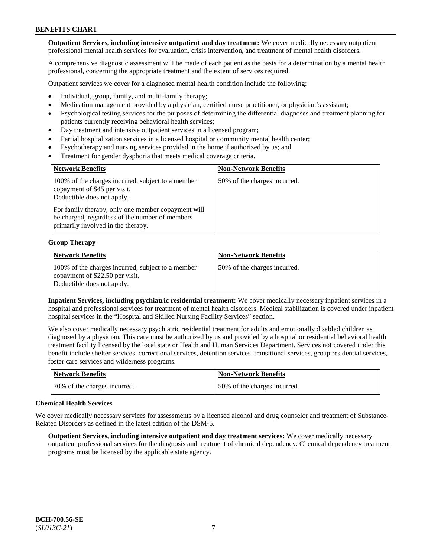**Outpatient Services, including intensive outpatient and day treatment:** We cover medically necessary outpatient professional mental health services for evaluation, crisis intervention, and treatment of mental health disorders.

A comprehensive diagnostic assessment will be made of each patient as the basis for a determination by a mental health professional, concerning the appropriate treatment and the extent of services required.

Outpatient services we cover for a diagnosed mental health condition include the following:

- Individual, group, family, and multi-family therapy;
- Medication management provided by a physician, certified nurse practitioner, or physician's assistant;
- Psychological testing services for the purposes of determining the differential diagnoses and treatment planning for patients currently receiving behavioral health services;
- Day treatment and intensive outpatient services in a licensed program;
- Partial hospitalization services in a licensed hospital or community mental health center;
- Psychotherapy and nursing services provided in the home if authorized by us; and
- Treatment for gender dysphoria that meets medical coverage criteria.

| <b>Network Benefits</b>                                                                                                                     | <b>Non-Network Benefits</b>  |
|---------------------------------------------------------------------------------------------------------------------------------------------|------------------------------|
| 100% of the charges incurred, subject to a member<br>copayment of \$45 per visit.<br>Deductible does not apply.                             | 50% of the charges incurred. |
| For family therapy, only one member copayment will<br>be charged, regardless of the number of members<br>primarily involved in the therapy. |                              |

#### **Group Therapy**

| <b>Network Benefits</b>                                                                                            | <b>Non-Network Benefits</b>  |
|--------------------------------------------------------------------------------------------------------------------|------------------------------|
| 100% of the charges incurred, subject to a member<br>copayment of \$22.50 per visit.<br>Deductible does not apply. | 50% of the charges incurred. |

**Inpatient Services, including psychiatric residential treatment:** We cover medically necessary inpatient services in a hospital and professional services for treatment of mental health disorders. Medical stabilization is covered under inpatient hospital services in the "Hospital and Skilled Nursing Facility Services" section.

We also cover medically necessary psychiatric residential treatment for adults and emotionally disabled children as diagnosed by a physician. This care must be authorized by us and provided by a hospital or residential behavioral health treatment facility licensed by the local state or Health and Human Services Department. Services not covered under this benefit include shelter services, correctional services, detention services, transitional services, group residential services, foster care services and wilderness programs.

| Network Benefits             | <b>Non-Network Benefits</b>  |
|------------------------------|------------------------------|
| 70% of the charges incurred. | 50% of the charges incurred. |

#### **Chemical Health Services**

We cover medically necessary services for assessments by a licensed alcohol and drug counselor and treatment of Substance-Related Disorders as defined in the latest edition of the DSM-5.

**Outpatient Services, including intensive outpatient and day treatment services:** We cover medically necessary outpatient professional services for the diagnosis and treatment of chemical dependency. Chemical dependency treatment programs must be licensed by the applicable state agency.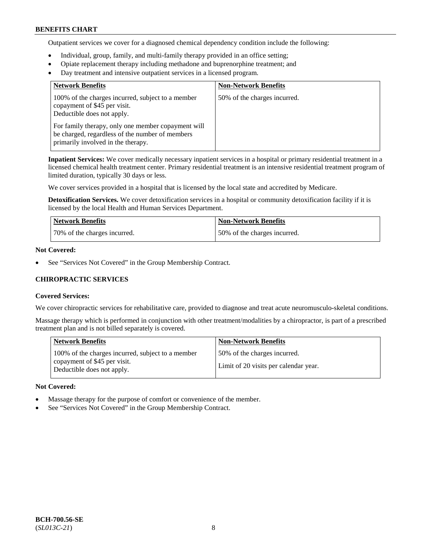Outpatient services we cover for a diagnosed chemical dependency condition include the following:

- Individual, group, family, and multi-family therapy provided in an office setting;
- Opiate replacement therapy including methadone and buprenorphine treatment; and
- Day treatment and intensive outpatient services in a licensed program.

| <b>Network Benefits</b>                                                                                                                     | <b>Non-Network Benefits</b>  |
|---------------------------------------------------------------------------------------------------------------------------------------------|------------------------------|
| 100% of the charges incurred, subject to a member<br>copayment of \$45 per visit.<br>Deductible does not apply.                             | 50% of the charges incurred. |
| For family therapy, only one member copayment will<br>be charged, regardless of the number of members<br>primarily involved in the therapy. |                              |

**Inpatient Services:** We cover medically necessary inpatient services in a hospital or primary residential treatment in a licensed chemical health treatment center. Primary residential treatment is an intensive residential treatment program of limited duration, typically 30 days or less.

We cover services provided in a hospital that is licensed by the local state and accredited by Medicare.

**Detoxification Services.** We cover detoxification services in a hospital or community detoxification facility if it is licensed by the local Health and Human Services Department.

| <b>Network Benefits</b>      | <b>Non-Network Benefits</b>  |
|------------------------------|------------------------------|
| 70% of the charges incurred. | 50% of the charges incurred. |

# **Not Covered:**

See "Services Not Covered" in the Group Membership Contract.

# **CHIROPRACTIC SERVICES**

#### **Covered Services:**

We cover chiropractic services for rehabilitative care, provided to diagnose and treat acute neuromusculo-skeletal conditions.

Massage therapy which is performed in conjunction with other treatment/modalities by a chiropractor, is part of a prescribed treatment plan and is not billed separately is covered.

| <b>Network Benefits</b>                                                                                         | <b>Non-Network Benefits</b>                                           |
|-----------------------------------------------------------------------------------------------------------------|-----------------------------------------------------------------------|
| 100% of the charges incurred, subject to a member<br>copayment of \$45 per visit.<br>Deductible does not apply. | 50% of the charges incurred.<br>Limit of 20 visits per calendar year. |

#### **Not Covered:**

- Massage therapy for the purpose of comfort or convenience of the member.
- See "Services Not Covered" in the Group Membership Contract.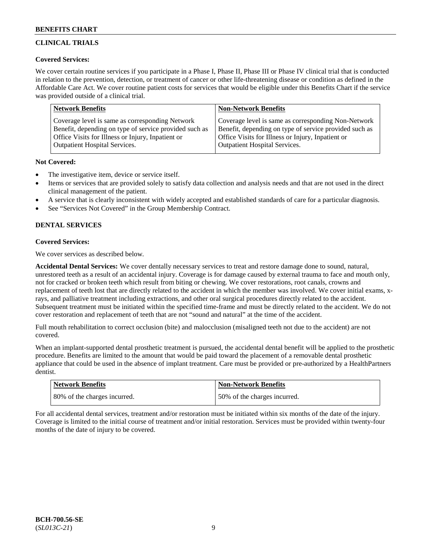# **CLINICAL TRIALS**

# **Covered Services:**

We cover certain routine services if you participate in a Phase I, Phase II, Phase III or Phase IV clinical trial that is conducted in relation to the prevention, detection, or treatment of cancer or other life-threatening disease or condition as defined in the Affordable Care Act. We cover routine patient costs for services that would be eligible under this Benefits Chart if the service was provided outside of a clinical trial.

| <b>Network Benefits</b>                                | <b>Non-Network Benefits</b>                            |
|--------------------------------------------------------|--------------------------------------------------------|
| Coverage level is same as corresponding Network        | Coverage level is same as corresponding Non-Network    |
| Benefit, depending on type of service provided such as | Benefit, depending on type of service provided such as |
| Office Visits for Illness or Injury, Inpatient or      | Office Visits for Illness or Injury, Inpatient or      |
| <b>Outpatient Hospital Services.</b>                   | Outpatient Hospital Services.                          |

# **Not Covered:**

- The investigative item, device or service itself.
- Items or services that are provided solely to satisfy data collection and analysis needs and that are not used in the direct clinical management of the patient.
- A service that is clearly inconsistent with widely accepted and established standards of care for a particular diagnosis.
- See "Services Not Covered" in the Group Membership Contract.

# **DENTAL SERVICES**

# **Covered Services:**

We cover services as described below.

**Accidental Dental Services:** We cover dentally necessary services to treat and restore damage done to sound, natural, unrestored teeth as a result of an accidental injury. Coverage is for damage caused by external trauma to face and mouth only, not for cracked or broken teeth which result from biting or chewing. We cover restorations, root canals, crowns and replacement of teeth lost that are directly related to the accident in which the member was involved. We cover initial exams, xrays, and palliative treatment including extractions, and other oral surgical procedures directly related to the accident. Subsequent treatment must be initiated within the specified time-frame and must be directly related to the accident. We do not cover restoration and replacement of teeth that are not "sound and natural" at the time of the accident.

Full mouth rehabilitation to correct occlusion (bite) and malocclusion (misaligned teeth not due to the accident) are not covered.

When an implant-supported dental prosthetic treatment is pursued, the accidental dental benefit will be applied to the prosthetic procedure. Benefits are limited to the amount that would be paid toward the placement of a removable dental prosthetic appliance that could be used in the absence of implant treatment. Care must be provided or pre-authorized by a HealthPartners dentist.

| <b>Network Benefits</b>      | <b>Non-Network Benefits</b>  |
|------------------------------|------------------------------|
| 80% of the charges incurred. | 50% of the charges incurred. |

For all accidental dental services, treatment and/or restoration must be initiated within six months of the date of the injury. Coverage is limited to the initial course of treatment and/or initial restoration. Services must be provided within twenty-four months of the date of injury to be covered.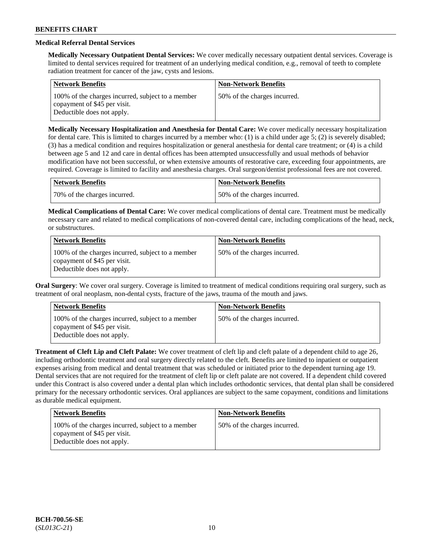# **Medical Referral Dental Services**

**Medically Necessary Outpatient Dental Services:** We cover medically necessary outpatient dental services. Coverage is limited to dental services required for treatment of an underlying medical condition, e.g., removal of teeth to complete radiation treatment for cancer of the jaw, cysts and lesions.

| <b>Network Benefits</b>                                                                                         | <b>Non-Network Benefits</b>  |
|-----------------------------------------------------------------------------------------------------------------|------------------------------|
| 100% of the charges incurred, subject to a member<br>copayment of \$45 per visit.<br>Deductible does not apply. | 50% of the charges incurred. |

**Medically Necessary Hospitalization and Anesthesia for Dental Care:** We cover medically necessary hospitalization for dental care. This is limited to charges incurred by a member who: (1) is a child under age  $5$ ; (2) is severely disabled; (3) has a medical condition and requires hospitalization or general anesthesia for dental care treatment; or (4) is a child between age 5 and 12 and care in dental offices has been attempted unsuccessfully and usual methods of behavior modification have not been successful, or when extensive amounts of restorative care, exceeding four appointments, are required. Coverage is limited to facility and anesthesia charges. Oral surgeon/dentist professional fees are not covered.

| <b>Network Benefits</b>      | Non-Network Benefits         |
|------------------------------|------------------------------|
| 70% of the charges incurred. | 50% of the charges incurred. |

**Medical Complications of Dental Care:** We cover medical complications of dental care. Treatment must be medically necessary care and related to medical complications of non-covered dental care, including complications of the head, neck, or substructures.

| <b>Network Benefits</b>                                                                                         | <b>Non-Network Benefits</b>  |
|-----------------------------------------------------------------------------------------------------------------|------------------------------|
| 100% of the charges incurred, subject to a member<br>copayment of \$45 per visit.<br>Deductible does not apply. | 50% of the charges incurred. |

**Oral Surgery**: We cover oral surgery. Coverage is limited to treatment of medical conditions requiring oral surgery, such as treatment of oral neoplasm, non-dental cysts, fracture of the jaws, trauma of the mouth and jaws.

| <b>Network Benefits</b>                                                                                         | <b>Non-Network Benefits</b>  |
|-----------------------------------------------------------------------------------------------------------------|------------------------------|
| 100% of the charges incurred, subject to a member<br>copayment of \$45 per visit.<br>Deductible does not apply. | 50% of the charges incurred. |

**Treatment of Cleft Lip and Cleft Palate:** We cover treatment of cleft lip and cleft palate of a dependent child to age 26, including orthodontic treatment and oral surgery directly related to the cleft. Benefits are limited to inpatient or outpatient expenses arising from medical and dental treatment that was scheduled or initiated prior to the dependent turning age 19. Dental services that are not required for the treatment of cleft lip or cleft palate are not covered. If a dependent child covered under this Contract is also covered under a dental plan which includes orthodontic services, that dental plan shall be considered primary for the necessary orthodontic services. Oral appliances are subject to the same copayment, conditions and limitations as durable medical equipment.

| <b>Network Benefits</b>                                                                                         | <b>Non-Network Benefits</b>  |
|-----------------------------------------------------------------------------------------------------------------|------------------------------|
| 100% of the charges incurred, subject to a member<br>copayment of \$45 per visit.<br>Deductible does not apply. | 50% of the charges incurred. |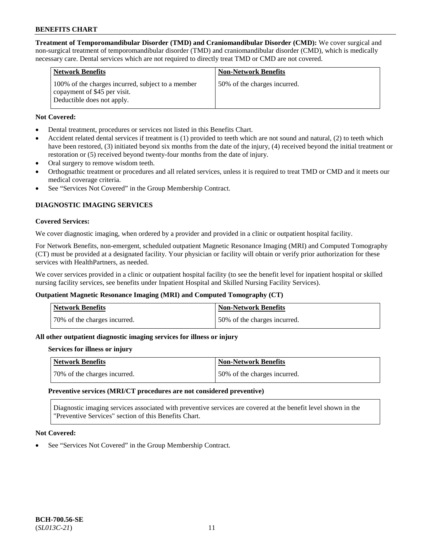**Treatment of Temporomandibular Disorder (TMD) and Craniomandibular Disorder (CMD):** We cover surgical and non-surgical treatment of temporomandibular disorder (TMD) and craniomandibular disorder (CMD), which is medically necessary care. Dental services which are not required to directly treat TMD or CMD are not covered.

| <b>Network Benefits</b>                                                                                         | <b>Non-Network Benefits</b>   |
|-----------------------------------------------------------------------------------------------------------------|-------------------------------|
| 100% of the charges incurred, subject to a member<br>copayment of \$45 per visit.<br>Deductible does not apply. | 50\% of the charges incurred. |

# **Not Covered:**

- Dental treatment, procedures or services not listed in this Benefits Chart.
- Accident related dental services if treatment is (1) provided to teeth which are not sound and natural, (2) to teeth which have been restored, (3) initiated beyond six months from the date of the injury, (4) received beyond the initial treatment or restoration or (5) received beyond twenty-four months from the date of injury.
- Oral surgery to remove wisdom teeth.
- Orthognathic treatment or procedures and all related services, unless it is required to treat TMD or CMD and it meets our medical coverage criteria.
- See "Services Not Covered" in the Group Membership Contract.

# **DIAGNOSTIC IMAGING SERVICES**

#### **Covered Services:**

We cover diagnostic imaging, when ordered by a provider and provided in a clinic or outpatient hospital facility.

For Network Benefits, non-emergent, scheduled outpatient Magnetic Resonance Imaging (MRI) and Computed Tomography (CT) must be provided at a designated facility. Your physician or facility will obtain or verify prior authorization for these services with HealthPartners, as needed.

We cover services provided in a clinic or outpatient hospital facility (to see the benefit level for inpatient hospital or skilled nursing facility services, see benefits under Inpatient Hospital and Skilled Nursing Facility Services).

# **Outpatient Magnetic Resonance Imaging (MRI) and Computed Tomography (CT)**

| Network Benefits             | <b>Non-Network Benefits</b>  |
|------------------------------|------------------------------|
| 70% of the charges incurred. | 50% of the charges incurred. |

# **All other outpatient diagnostic imaging services for illness or injury**

#### **Services for illness or injury**

| Network Benefits             | Non-Network Benefits         |
|------------------------------|------------------------------|
| 70% of the charges incurred. | 50% of the charges incurred. |

#### **Preventive services (MRI/CT procedures are not considered preventive)**

Diagnostic imaging services associated with preventive services are covered at the benefit level shown in the "Preventive Services" section of this Benefits Chart.

#### **Not Covered:**

See "Services Not Covered" in the Group Membership Contract.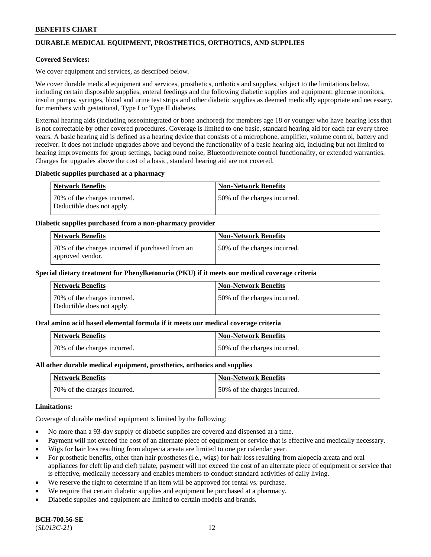# **DURABLE MEDICAL EQUIPMENT, PROSTHETICS, ORTHOTICS, AND SUPPLIES**

### **Covered Services:**

We cover equipment and services, as described below.

We cover durable medical equipment and services, prosthetics, orthotics and supplies, subject to the limitations below, including certain disposable supplies, enteral feedings and the following diabetic supplies and equipment: glucose monitors, insulin pumps, syringes, blood and urine test strips and other diabetic supplies as deemed medically appropriate and necessary, for members with gestational, Type I or Type II diabetes.

External hearing aids (including osseointegrated or bone anchored) for members age 18 or younger who have hearing loss that is not correctable by other covered procedures. Coverage is limited to one basic, standard hearing aid for each ear every three years. A basic hearing aid is defined as a hearing device that consists of a microphone, amplifier, volume control, battery and receiver. It does not include upgrades above and beyond the functionality of a basic hearing aid, including but not limited to hearing improvements for group settings, background noise, Bluetooth/remote control functionality, or extended warranties. Charges for upgrades above the cost of a basic, standard hearing aid are not covered.

#### **Diabetic supplies purchased at a pharmacy**

| <b>Network Benefits</b>                                    | <b>Non-Network Benefits</b>  |
|------------------------------------------------------------|------------------------------|
| 70% of the charges incurred.<br>Deductible does not apply. | 50% of the charges incurred. |

#### **Diabetic supplies purchased from a non-pharmacy provider**

| <b>Network Benefits</b>                                              | <b>Non-Network Benefits</b>  |
|----------------------------------------------------------------------|------------------------------|
| 70% of the charges incurred if purchased from an<br>approved vendor. | 50% of the charges incurred. |

#### **Special dietary treatment for Phenylketonuria (PKU) if it meets our medical coverage criteria**

| Network Benefits                                           | <b>Non-Network Benefits</b>   |
|------------------------------------------------------------|-------------------------------|
| 70% of the charges incurred.<br>Deductible does not apply. | 150% of the charges incurred. |

#### **Oral amino acid based elemental formula if it meets our medical coverage criteria**

| <b>Network Benefits</b>      | <b>Non-Network Benefits</b>  |
|------------------------------|------------------------------|
| 70% of the charges incurred. | 50% of the charges incurred. |

#### **All other durable medical equipment, prosthetics, orthotics and supplies**

| Network Benefits             | <b>Non-Network Benefits</b>  |
|------------------------------|------------------------------|
| 70% of the charges incurred. | 50% of the charges incurred. |

### **Limitations:**

Coverage of durable medical equipment is limited by the following:

- No more than a 93-day supply of diabetic supplies are covered and dispensed at a time.
- Payment will not exceed the cost of an alternate piece of equipment or service that is effective and medically necessary.
- Wigs for hair loss resulting from alopecia areata are limited to one per calendar year.
- For prosthetic benefits, other than hair prostheses (i.e., wigs) for hair loss resulting from alopecia areata and oral appliances for cleft lip and cleft palate, payment will not exceed the cost of an alternate piece of equipment or service that is effective, medically necessary and enables members to conduct standard activities of daily living.
- We reserve the right to determine if an item will be approved for rental vs. purchase.
- We require that certain diabetic supplies and equipment be purchased at a pharmacy.
- Diabetic supplies and equipment are limited to certain models and brands.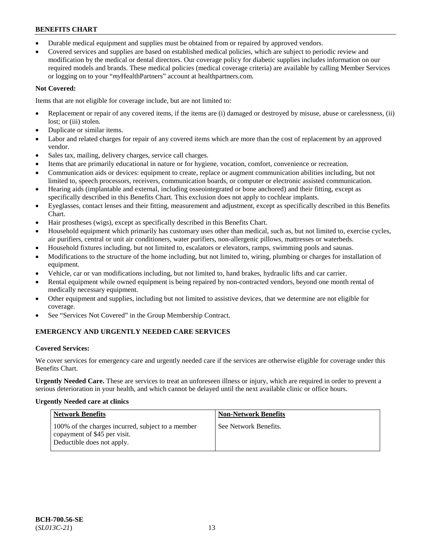- Durable medical equipment and supplies must be obtained from or repaired by approved vendors.
- Covered services and supplies are based on established medical policies, which are subject to periodic review and modification by the medical or dental directors. Our coverage policy for diabetic supplies includes information on our required models and brands. These medical policies (medical coverage criteria) are available by calling Member Services or logging on to your "*my*HealthPartners" account a[t healthpartners.com.](https://www.healthpartners.com/hp/index.html)

# **Not Covered:**

Items that are not eligible for coverage include, but are not limited to:

- Replacement or repair of any covered items, if the items are (i) damaged or destroyed by misuse, abuse or carelessness, (ii) lost; or (iii) stolen.
- Duplicate or similar items.
- Labor and related charges for repair of any covered items which are more than the cost of replacement by an approved vendor.
- Sales tax, mailing, delivery charges, service call charges.
- Items that are primarily educational in nature or for hygiene, vocation, comfort, convenience or recreation.
- Communication aids or devices: equipment to create, replace or augment communication abilities including, but not limited to, speech processors, receivers, communication boards, or computer or electronic assisted communication.
- Hearing aids (implantable and external, including osseointegrated or bone anchored) and their fitting, except as specifically described in this Benefits Chart. This exclusion does not apply to cochlear implants.
- Eyeglasses, contact lenses and their fitting, measurement and adjustment, except as specifically described in this Benefits Chart.
- Hair prostheses (wigs), except as specifically described in this Benefits Chart.
- Household equipment which primarily has customary uses other than medical, such as, but not limited to, exercise cycles, air purifiers, central or unit air conditioners, water purifiers, non-allergenic pillows, mattresses or waterbeds.
- Household fixtures including, but not limited to, escalators or elevators, ramps, swimming pools and saunas.
- Modifications to the structure of the home including, but not limited to, wiring, plumbing or charges for installation of equipment.
- Vehicle, car or van modifications including, but not limited to, hand brakes, hydraulic lifts and car carrier.
- Rental equipment while owned equipment is being repaired by non-contracted vendors, beyond one month rental of medically necessary equipment.
- Other equipment and supplies, including but not limited to assistive devices, that we determine are not eligible for coverage.
- See "Services Not Covered" in the Group Membership Contract.

# **EMERGENCY AND URGENTLY NEEDED CARE SERVICES**

# **Covered Services:**

We cover services for emergency care and urgently needed care if the services are otherwise eligible for coverage under this Benefits Chart.

**Urgently Needed Care.** These are services to treat an unforeseen illness or injury, which are required in order to prevent a serious deterioration in your health, and which cannot be delayed until the next available clinic or office hours.

# **Urgently Needed care at clinics**

| <b>Network Benefits</b>                                                                                         | <b>Non-Network Benefits</b> |
|-----------------------------------------------------------------------------------------------------------------|-----------------------------|
| 100% of the charges incurred, subject to a member<br>copayment of \$45 per visit.<br>Deductible does not apply. | See Network Benefits.       |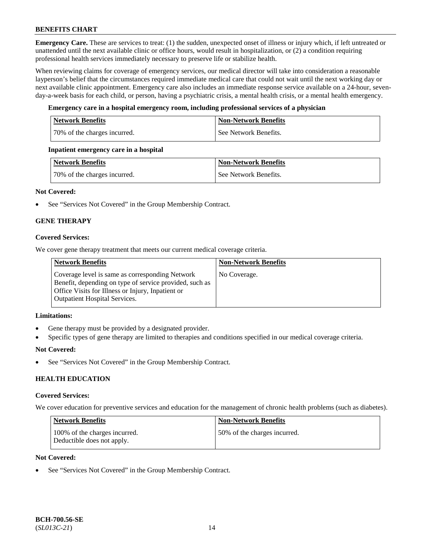**Emergency Care.** These are services to treat: (1) the sudden, unexpected onset of illness or injury which, if left untreated or unattended until the next available clinic or office hours, would result in hospitalization, or (2) a condition requiring professional health services immediately necessary to preserve life or stabilize health.

When reviewing claims for coverage of emergency services, our medical director will take into consideration a reasonable layperson's belief that the circumstances required immediate medical care that could not wait until the next working day or next available clinic appointment. Emergency care also includes an immediate response service available on a 24-hour, sevenday-a-week basis for each child, or person, having a psychiatric crisis, a mental health crisis, or a mental health emergency.

# **Emergency care in a hospital emergency room, including professional services of a physician**

| <b>Network Benefits</b>      | <b>Non-Network Benefits</b> |
|------------------------------|-----------------------------|
| 70% of the charges incurred. | See Network Benefits.       |

#### **Inpatient emergency care in a hospital**

| Network Benefits             | Non-Network Benefits  |
|------------------------------|-----------------------|
| 70% of the charges incurred. | See Network Benefits. |

# **Not Covered:**

• See "Services Not Covered" in the Group Membership Contract.

# **GENE THERAPY**

# **Covered Services:**

We cover gene therapy treatment that meets our current medical coverage criteria.

| <b>Network Benefits</b>                                                                                                                                                                                 | <b>Non-Network Benefits</b> |
|---------------------------------------------------------------------------------------------------------------------------------------------------------------------------------------------------------|-----------------------------|
| Coverage level is same as corresponding Network<br>Benefit, depending on type of service provided, such as<br>Office Visits for Illness or Injury, Inpatient or<br><b>Outpatient Hospital Services.</b> | No Coverage.                |

#### **Limitations:**

- Gene therapy must be provided by a designated provider.
- Specific types of gene therapy are limited to therapies and conditions specified in our medical coverage criteria.

#### **Not Covered:**

See "Services Not Covered" in the Group Membership Contract.

# **HEALTH EDUCATION**

#### **Covered Services:**

We cover education for preventive services and education for the management of chronic health problems (such as diabetes).

| Network Benefits                                            | <b>Non-Network Benefits</b>  |
|-------------------------------------------------------------|------------------------------|
| 100% of the charges incurred.<br>Deductible does not apply. | 50% of the charges incurred. |

# **Not Covered:**

See "Services Not Covered" in the Group Membership Contract.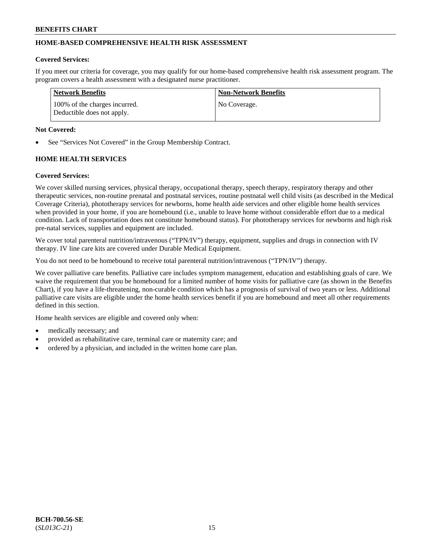# **HOME-BASED COMPREHENSIVE HEALTH RISK ASSESSMENT**

#### **Covered Services:**

If you meet our criteria for coverage, you may qualify for our home-based comprehensive health risk assessment program. The program covers a health assessment with a designated nurse practitioner.

| <b>Network Benefits</b>                                     | <b>Non-Network Benefits</b> |
|-------------------------------------------------------------|-----------------------------|
| 100% of the charges incurred.<br>Deductible does not apply. | No Coverage.                |

#### **Not Covered:**

See "Services Not Covered" in the Group Membership Contract.

# **HOME HEALTH SERVICES**

#### **Covered Services:**

We cover skilled nursing services, physical therapy, occupational therapy, speech therapy, respiratory therapy and other therapeutic services, non-routine prenatal and postnatal services, routine postnatal well child visits (as described in the Medical Coverage Criteria), phototherapy services for newborns, home health aide services and other eligible home health services when provided in your home, if you are homebound (i.e., unable to leave home without considerable effort due to a medical condition. Lack of transportation does not constitute homebound status). For phototherapy services for newborns and high risk pre-natal services, supplies and equipment are included.

We cover total parenteral nutrition/intravenous ("TPN/IV") therapy, equipment, supplies and drugs in connection with IV therapy. IV line care kits are covered under Durable Medical Equipment.

You do not need to be homebound to receive total parenteral nutrition/intravenous ("TPN/IV") therapy.

We cover palliative care benefits. Palliative care includes symptom management, education and establishing goals of care. We waive the requirement that you be homebound for a limited number of home visits for palliative care (as shown in the Benefits Chart), if you have a life-threatening, non-curable condition which has a prognosis of survival of two years or less. Additional palliative care visits are eligible under the home health services benefit if you are homebound and meet all other requirements defined in this section.

Home health services are eligible and covered only when:

- medically necessary; and
- provided as rehabilitative care, terminal care or maternity care; and
- ordered by a physician, and included in the written home care plan.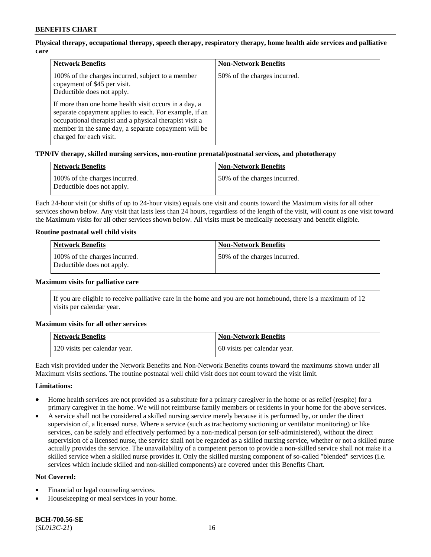# **Physical therapy, occupational therapy, speech therapy, respiratory therapy, home health aide services and palliative care**

| <b>Network Benefits</b>                                                                                                                                                                                                                                       | <b>Non-Network Benefits</b>  |
|---------------------------------------------------------------------------------------------------------------------------------------------------------------------------------------------------------------------------------------------------------------|------------------------------|
| 100% of the charges incurred, subject to a member<br>copayment of \$45 per visit.<br>Deductible does not apply.                                                                                                                                               | 50% of the charges incurred. |
| If more than one home health visit occurs in a day, a<br>separate copayment applies to each. For example, if an<br>occupational therapist and a physical therapist visit a<br>member in the same day, a separate copayment will be<br>charged for each visit. |                              |

# **TPN/IV therapy, skilled nursing services, non-routine prenatal/postnatal services, and phototherapy**

| <b>Network Benefits</b>                                     | <b>Non-Network Benefits</b>  |
|-------------------------------------------------------------|------------------------------|
| 100% of the charges incurred.<br>Deductible does not apply. | 50% of the charges incurred. |

Each 24-hour visit (or shifts of up to 24-hour visits) equals one visit and counts toward the Maximum visits for all other services shown below. Any visit that lasts less than 24 hours, regardless of the length of the visit, will count as one visit toward the Maximum visits for all other services shown below. All visits must be medically necessary and benefit eligible.

#### **Routine postnatal well child visits**

| Network Benefits                                            | <b>Non-Network Benefits</b>   |
|-------------------------------------------------------------|-------------------------------|
| 100% of the charges incurred.<br>Deductible does not apply. | 150% of the charges incurred. |

#### **Maximum visits for palliative care**

If you are eligible to receive palliative care in the home and you are not homebound, there is a maximum of 12 visits per calendar year.

#### **Maximum visits for all other services**

| <b>Network Benefits</b>       | <b>Non-Network Benefits</b>  |
|-------------------------------|------------------------------|
| 120 visits per calendar year. | 60 visits per calendar year. |

Each visit provided under the Network Benefits and Non-Network Benefits counts toward the maximums shown under all Maximum visits sections. The routine postnatal well child visit does not count toward the visit limit.

#### **Limitations:**

- Home health services are not provided as a substitute for a primary caregiver in the home or as relief (respite) for a primary caregiver in the home. We will not reimburse family members or residents in your home for the above services.
- A service shall not be considered a skilled nursing service merely because it is performed by, or under the direct supervision of, a licensed nurse. Where a service (such as tracheotomy suctioning or ventilator monitoring) or like services, can be safely and effectively performed by a non-medical person (or self-administered), without the direct supervision of a licensed nurse, the service shall not be regarded as a skilled nursing service, whether or not a skilled nurse actually provides the service. The unavailability of a competent person to provide a non-skilled service shall not make it a skilled service when a skilled nurse provides it. Only the skilled nursing component of so-called "blended" services (i.e. services which include skilled and non-skilled components) are covered under this Benefits Chart.

#### **Not Covered:**

- Financial or legal counseling services.
- Housekeeping or meal services in your home.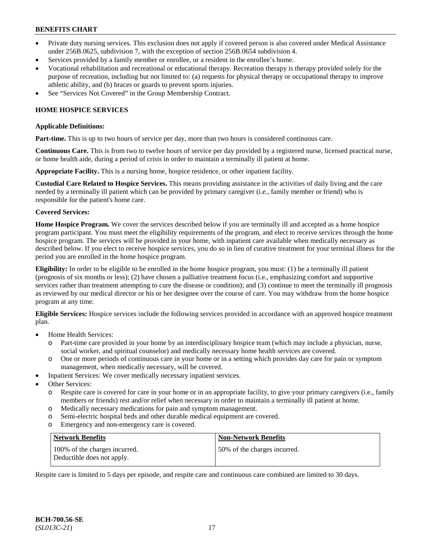- Private duty nursing services. This exclusion does not apply if covered person is also covered under Medical Assistance under 256B.0625, subdivision 7, with the exception of section 256B.0654 subdivision 4.
- Services provided by a family member or enrollee, or a resident in the enrollee's home.
- Vocational rehabilitation and recreational or educational therapy. Recreation therapy is therapy provided solely for the purpose of recreation, including but not limited to: (a) requests for physical therapy or occupational therapy to improve athletic ability, and (b) braces or guards to prevent sports injuries.
- See "Services Not Covered" in the Group Membership Contract.

# **HOME HOSPICE SERVICES**

#### **Applicable Definitions:**

**Part-time.** This is up to two hours of service per day, more than two hours is considered continuous care.

**Continuous Care.** This is from two to twelve hours of service per day provided by a registered nurse, licensed practical nurse, or home health aide, during a period of crisis in order to maintain a terminally ill patient at home.

**Appropriate Facility.** This is a nursing home, hospice residence, or other inpatient facility.

**Custodial Care Related to Hospice Services.** This means providing assistance in the activities of daily living and the care needed by a terminally ill patient which can be provided by primary caregiver (i.e., family member or friend) who is responsible for the patient's home care.

#### **Covered Services:**

**Home Hospice Program.** We cover the services described below if you are terminally ill and accepted as a home hospice program participant. You must meet the eligibility requirements of the program, and elect to receive services through the home hospice program. The services will be provided in your home, with inpatient care available when medically necessary as described below. If you elect to receive hospice services, you do so in lieu of curative treatment for your terminal illness for the period you are enrolled in the home hospice program.

**Eligibility:** In order to be eligible to be enrolled in the home hospice program, you must: (1) be a terminally ill patient (prognosis of six months or less); (2) have chosen a palliative treatment focus (i.e., emphasizing comfort and supportive services rather than treatment attempting to cure the disease or condition); and (3) continue to meet the terminally ill prognosis as reviewed by our medical director or his or her designee over the course of care. You may withdraw from the home hospice program at any time.

**Eligible Services:** Hospice services include the following services provided in accordance with an approved hospice treatment plan.

- Home Health Services:
	- o Part-time care provided in your home by an interdisciplinary hospice team (which may include a physician, nurse, social worker, and spiritual counselor) and medically necessary home health services are covered.
	- o One or more periods of continuous care in your home or in a setting which provides day care for pain or symptom management, when medically necessary, will be covered.
- Inpatient Services: We cover medically necessary inpatient services.
- Other Services:
	- o Respite care is covered for care in your home or in an appropriate facility, to give your primary caregivers (i.e., family members or friends) rest and/or relief when necessary in order to maintain a terminally ill patient at home.
	- o Medically necessary medications for pain and symptom management.
	- o Semi-electric hospital beds and other durable medical equipment are covered.
	- o Emergency and non-emergency care is covered.

| Network Benefits                                            | <b>Non-Network Benefits</b>  |
|-------------------------------------------------------------|------------------------------|
| 100% of the charges incurred.<br>Deductible does not apply. | 50% of the charges incurred. |

Respite care is limited to 5 days per episode, and respite care and continuous care combined are limited to 30 days.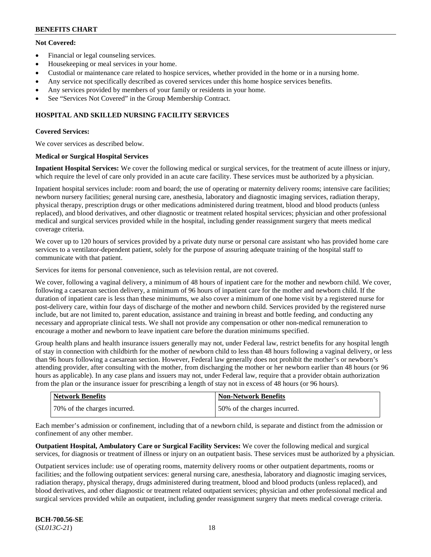# **Not Covered:**

- Financial or legal counseling services.
- Housekeeping or meal services in your home.
- Custodial or maintenance care related to hospice services, whether provided in the home or in a nursing home.
- Any service not specifically described as covered services under this home hospice services benefits.
- Any services provided by members of your family or residents in your home.
- See "Services Not Covered" in the Group Membership Contract.

# **HOSPITAL AND SKILLED NURSING FACILITY SERVICES**

# **Covered Services:**

We cover services as described below.

# **Medical or Surgical Hospital Services**

**Inpatient Hospital Services:** We cover the following medical or surgical services, for the treatment of acute illness or injury, which require the level of care only provided in an acute care facility. These services must be authorized by a physician.

Inpatient hospital services include: room and board; the use of operating or maternity delivery rooms; intensive care facilities; newborn nursery facilities; general nursing care, anesthesia, laboratory and diagnostic imaging services, radiation therapy, physical therapy, prescription drugs or other medications administered during treatment, blood and blood products (unless replaced), and blood derivatives, and other diagnostic or treatment related hospital services; physician and other professional medical and surgical services provided while in the hospital, including gender reassignment surgery that meets medical coverage criteria.

We cover up to 120 hours of services provided by a private duty nurse or personal care assistant who has provided home care services to a ventilator-dependent patient, solely for the purpose of assuring adequate training of the hospital staff to communicate with that patient.

Services for items for personal convenience, such as television rental, are not covered.

We cover, following a vaginal delivery, a minimum of 48 hours of inpatient care for the mother and newborn child. We cover, following a caesarean section delivery, a minimum of 96 hours of inpatient care for the mother and newborn child. If the duration of inpatient care is less than these minimums, we also cover a minimum of one home visit by a registered nurse for post-delivery care, within four days of discharge of the mother and newborn child. Services provided by the registered nurse include, but are not limited to, parent education, assistance and training in breast and bottle feeding, and conducting any necessary and appropriate clinical tests. We shall not provide any compensation or other non-medical remuneration to encourage a mother and newborn to leave inpatient care before the duration minimums specified.

Group health plans and health insurance issuers generally may not, under Federal law, restrict benefits for any hospital length of stay in connection with childbirth for the mother of newborn child to less than 48 hours following a vaginal delivery, or less than 96 hours following a caesarean section. However, Federal law generally does not prohibit the mother's or newborn's attending provider, after consulting with the mother, from discharging the mother or her newborn earlier than 48 hours (or 96 hours as applicable). In any case plans and issuers may not, under Federal law, require that a provider obtain authorization from the plan or the insurance issuer for prescribing a length of stay not in excess of 48 hours (or 96 hours).

| <b>Network Benefits</b>      | <b>Non-Network Benefits</b>  |
|------------------------------|------------------------------|
| 70% of the charges incurred. | 50% of the charges incurred. |

Each member's admission or confinement, including that of a newborn child, is separate and distinct from the admission or confinement of any other member.

**Outpatient Hospital, Ambulatory Care or Surgical Facility Services:** We cover the following medical and surgical services, for diagnosis or treatment of illness or injury on an outpatient basis. These services must be authorized by a physician.

Outpatient services include: use of operating rooms, maternity delivery rooms or other outpatient departments, rooms or facilities; and the following outpatient services: general nursing care, anesthesia, laboratory and diagnostic imaging services, radiation therapy, physical therapy, drugs administered during treatment, blood and blood products (unless replaced), and blood derivatives, and other diagnostic or treatment related outpatient services; physician and other professional medical and surgical services provided while an outpatient, including gender reassignment surgery that meets medical coverage criteria.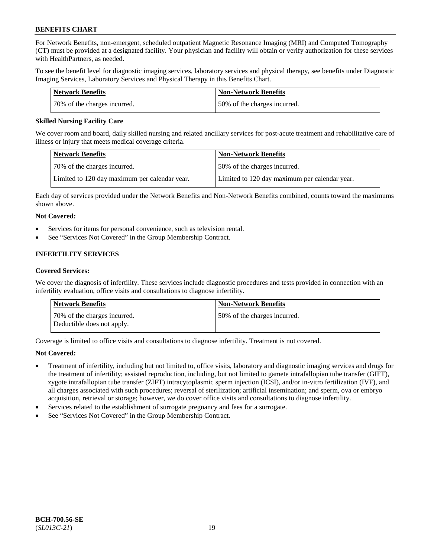For Network Benefits, non-emergent, scheduled outpatient Magnetic Resonance Imaging (MRI) and Computed Tomography (CT) must be provided at a designated facility. Your physician and facility will obtain or verify authorization for these services with HealthPartners, as needed.

To see the benefit level for diagnostic imaging services, laboratory services and physical therapy, see benefits under Diagnostic Imaging Services, Laboratory Services and Physical Therapy in this Benefits Chart.

| Network Benefits             | <b>Non-Network Benefits</b>  |
|------------------------------|------------------------------|
| 70% of the charges incurred. | 50% of the charges incurred. |

### **Skilled Nursing Facility Care**

We cover room and board, daily skilled nursing and related ancillary services for post-acute treatment and rehabilitative care of illness or injury that meets medical coverage criteria.

| Network Benefits                              | <b>Non-Network Benefits</b>                   |
|-----------------------------------------------|-----------------------------------------------|
| 70% of the charges incurred.                  | 50% of the charges incurred.                  |
| Limited to 120 day maximum per calendar year. | Limited to 120 day maximum per calendar year. |

Each day of services provided under the Network Benefits and Non-Network Benefits combined, counts toward the maximums shown above.

# **Not Covered:**

- Services for items for personal convenience, such as television rental.
- See "Services Not Covered" in the Group Membership Contract.

# **INFERTILITY SERVICES**

#### **Covered Services:**

We cover the diagnosis of infertility. These services include diagnostic procedures and tests provided in connection with an infertility evaluation, office visits and consultations to diagnose infertility.

| <b>Network Benefits</b>                                    | <b>Non-Network Benefits</b>  |
|------------------------------------------------------------|------------------------------|
| 70% of the charges incurred.<br>Deductible does not apply. | 50% of the charges incurred. |

Coverage is limited to office visits and consultations to diagnose infertility. Treatment is not covered.

# **Not Covered:**

- Treatment of infertility, including but not limited to, office visits, laboratory and diagnostic imaging services and drugs for the treatment of infertility; assisted reproduction, including, but not limited to gamete intrafallopian tube transfer (GIFT), zygote intrafallopian tube transfer (ZIFT) intracytoplasmic sperm injection (ICSI), and/or in-vitro fertilization (IVF), and all charges associated with such procedures; reversal of sterilization; artificial insemination; and sperm, ova or embryo acquisition, retrieval or storage; however, we do cover office visits and consultations to diagnose infertility.
- Services related to the establishment of surrogate pregnancy and fees for a surrogate.
- See "Services Not Covered" in the Group Membership Contract.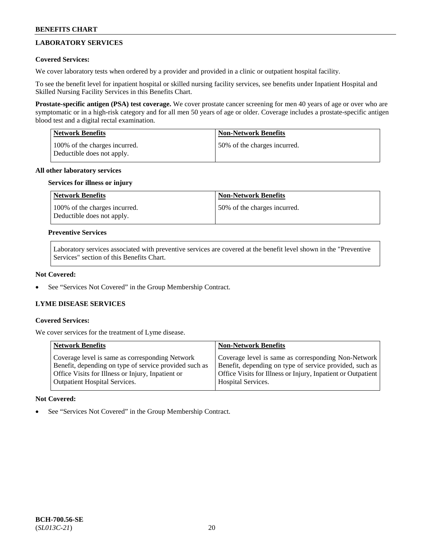# **LABORATORY SERVICES**

# **Covered Services:**

We cover laboratory tests when ordered by a provider and provided in a clinic or outpatient hospital facility.

To see the benefit level for inpatient hospital or skilled nursing facility services, see benefits under Inpatient Hospital and Skilled Nursing Facility Services in this Benefits Chart.

**Prostate-specific antigen (PSA) test coverage.** We cover prostate cancer screening for men 40 years of age or over who are symptomatic or in a high-risk category and for all men 50 years of age or older. Coverage includes a prostate-specific antigen blood test and a digital rectal examination.

| <b>Network Benefits</b>                                     | <b>Non-Network Benefits</b>  |
|-------------------------------------------------------------|------------------------------|
| 100% of the charges incurred.<br>Deductible does not apply. | 50% of the charges incurred. |

# **All other laboratory services**

# **Services for illness or injury**

| Network Benefits                                            | <b>Non-Network Benefits</b>  |
|-------------------------------------------------------------|------------------------------|
| 100% of the charges incurred.<br>Deductible does not apply. | 50% of the charges incurred. |

### **Preventive Services**

Laboratory services associated with preventive services are covered at the benefit level shown in the "Preventive Services" section of this Benefits Chart.

### **Not Covered:**

See "Services Not Covered" in the Group Membership Contract.

# **LYME DISEASE SERVICES**

#### **Covered Services:**

We cover services for the treatment of Lyme disease.

| <b>Network Benefits</b>                                                                                                                                                                                | <b>Non-Network Benefits</b>                                                                                                                                                    |
|--------------------------------------------------------------------------------------------------------------------------------------------------------------------------------------------------------|--------------------------------------------------------------------------------------------------------------------------------------------------------------------------------|
| Coverage level is same as corresponding Network<br>Benefit, depending on type of service provided such as<br>Office Visits for Illness or Injury, Inpatient or<br><b>Outpatient Hospital Services.</b> | Coverage level is same as corresponding Non-Network<br>Benefit, depending on type of service provided, such as<br>Office Visits for Illness or Injury, Inpatient or Outpatient |
|                                                                                                                                                                                                        | Hospital Services.                                                                                                                                                             |

# **Not Covered:**

See "Services Not Covered" in the Group Membership Contract.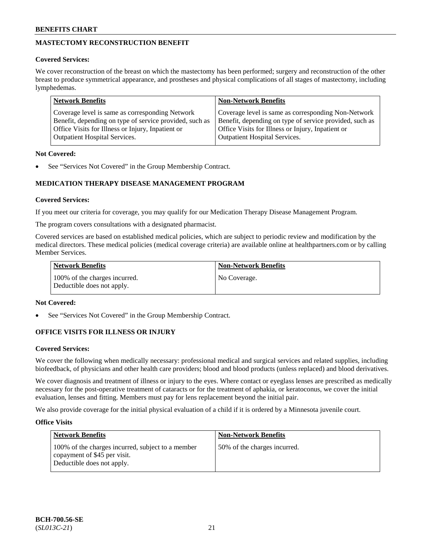# **MASTECTOMY RECONSTRUCTION BENEFIT**

# **Covered Services:**

We cover reconstruction of the breast on which the mastectomy has been performed; surgery and reconstruction of the other breast to produce symmetrical appearance, and prostheses and physical complications of all stages of mastectomy, including lymphedemas.

| <b>Network Benefits</b>                                 | <b>Non-Network Benefits</b>                             |
|---------------------------------------------------------|---------------------------------------------------------|
| Coverage level is same as corresponding Network         | Coverage level is same as corresponding Non-Network     |
| Benefit, depending on type of service provided, such as | Benefit, depending on type of service provided, such as |
| Office Visits for Illness or Injury, Inpatient or       | Office Visits for Illness or Injury, Inpatient or       |
| <b>Outpatient Hospital Services.</b>                    | <b>Outpatient Hospital Services.</b>                    |

# **Not Covered:**

See "Services Not Covered" in the Group Membership Contract.

# **MEDICATION THERAPY DISEASE MANAGEMENT PROGRAM**

# **Covered Services:**

If you meet our criteria for coverage, you may qualify for our Medication Therapy Disease Management Program.

The program covers consultations with a designated pharmacist.

Covered services are based on established medical policies, which are subject to periodic review and modification by the medical directors. These medical policies (medical coverage criteria) are available online at [healthpartners.com](https://www.healthpartners.com/hp/index.html) or by calling Member Services.

| Network Benefits                                            | <b>Non-Network Benefits</b> |
|-------------------------------------------------------------|-----------------------------|
| 100% of the charges incurred.<br>Deductible does not apply. | No Coverage.                |

# **Not Covered:**

See "Services Not Covered" in the Group Membership Contract.

# **OFFICE VISITS FOR ILLNESS OR INJURY**

# **Covered Services:**

We cover the following when medically necessary: professional medical and surgical services and related supplies, including biofeedback, of physicians and other health care providers; blood and blood products (unless replaced) and blood derivatives.

We cover diagnosis and treatment of illness or injury to the eyes. Where contact or eyeglass lenses are prescribed as medically necessary for the post-operative treatment of cataracts or for the treatment of aphakia, or keratoconus, we cover the initial evaluation, lenses and fitting. Members must pay for lens replacement beyond the initial pair.

We also provide coverage for the initial physical evaluation of a child if it is ordered by a Minnesota juvenile court.

# **Office Visits**

| <b>Network Benefits</b>                                                                                         | <b>Non-Network Benefits</b>  |
|-----------------------------------------------------------------------------------------------------------------|------------------------------|
| 100% of the charges incurred, subject to a member<br>copayment of \$45 per visit.<br>Deductible does not apply. | 50% of the charges incurred. |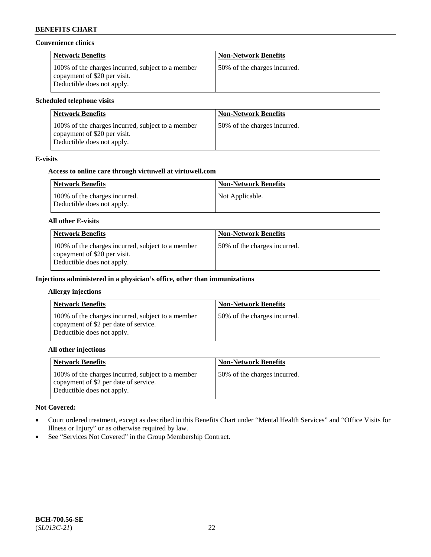### **Convenience clinics**

| <b>Network Benefits</b>                                                                                         | <b>Non-Network Benefits</b>  |
|-----------------------------------------------------------------------------------------------------------------|------------------------------|
| 100% of the charges incurred, subject to a member<br>copayment of \$20 per visit.<br>Deductible does not apply. | 50% of the charges incurred. |

# **Scheduled telephone visits**

| <b>Network Benefits</b>                                                                                         | <b>Non-Network Benefits</b>  |
|-----------------------------------------------------------------------------------------------------------------|------------------------------|
| 100% of the charges incurred, subject to a member<br>copayment of \$20 per visit.<br>Deductible does not apply. | 50% of the charges incurred. |

# **E-visits**

### **Access to online care through virtuwell at [virtuwell.com](https://www.virtuwell.com/)**

| <b>Network Benefits</b>                                     | <b>Non-Network Benefits</b> |
|-------------------------------------------------------------|-----------------------------|
| 100% of the charges incurred.<br>Deductible does not apply. | Not Applicable.             |

#### **All other E-visits**

| <b>Network Benefits</b>                                                                                         | <b>Non-Network Benefits</b>  |
|-----------------------------------------------------------------------------------------------------------------|------------------------------|
| 100% of the charges incurred, subject to a member<br>copayment of \$20 per visit.<br>Deductible does not apply. | 50% of the charges incurred. |

# **Injections administered in a physician's office, other than immunizations**

#### **Allergy injections**

| <b>Network Benefits</b>                                                                                                  | <b>Non-Network Benefits</b>  |
|--------------------------------------------------------------------------------------------------------------------------|------------------------------|
| 100% of the charges incurred, subject to a member<br>copayment of \$2 per date of service.<br>Deductible does not apply. | 50% of the charges incurred. |

### **All other injections**

| <b>Network Benefits</b>                                                                                                  | <b>Non-Network Benefits</b>  |
|--------------------------------------------------------------------------------------------------------------------------|------------------------------|
| 100% of the charges incurred, subject to a member<br>copayment of \$2 per date of service.<br>Deductible does not apply. | 50% of the charges incurred. |

# **Not Covered:**

- Court ordered treatment, except as described in this Benefits Chart under "Mental Health Services" and "Office Visits for Illness or Injury" or as otherwise required by law.
- See "Services Not Covered" in the Group Membership Contract.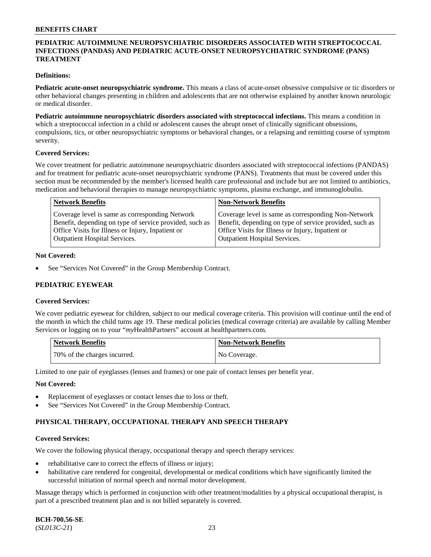# **PEDIATRIC AUTOIMMUNE NEUROPSYCHIATRIC DISORDERS ASSOCIATED WITH STREPTOCOCCAL INFECTIONS (PANDAS) AND PEDIATRIC ACUTE-ONSET NEUROPSYCHIATRIC SYNDROME (PANS) TREATMENT**

### **Definitions:**

**Pediatric acute-onset neuropsychiatric syndrome.** This means a class of acute-onset obsessive compulsive or tic disorders or other behavioral changes presenting in children and adolescents that are not otherwise explained by another known neurologic or medical disorder.

**Pediatric autoimmune neuropsychiatric disorders associated with streptococcal infections.** This means a condition in which a streptococcal infection in a child or adolescent causes the abrupt onset of clinically significant obsessions, compulsions, tics, or other neuropsychiatric symptoms or behavioral changes, or a relapsing and remitting course of symptom severity.

#### **Covered Services:**

We cover treatment for pediatric autoimmune neuropsychiatric disorders associated with streptococcal infections (PANDAS) and for treatment for pediatric acute-onset neuropsychiatric syndrome (PANS). Treatments that must be covered under this section must be recommended by the member's licensed health care professional and include but are not limited to antibiotics, medication and behavioral therapies to manage neuropsychiatric symptoms, plasma exchange, and immunoglobulin.

| <b>Network Benefits</b>                                 | <b>Non-Network Benefits</b>                             |
|---------------------------------------------------------|---------------------------------------------------------|
| Coverage level is same as corresponding Network         | Coverage level is same as corresponding Non-Network     |
| Benefit, depending on type of service provided, such as | Benefit, depending on type of service provided, such as |
| Office Visits for Illness or Injury, Inpatient or       | Office Visits for Illness or Injury, Inpatient or       |
| <b>Outpatient Hospital Services.</b>                    | <b>Outpatient Hospital Services.</b>                    |

#### **Not Covered:**

See "Services Not Covered" in the Group Membership Contract.

# **PEDIATRIC EYEWEAR**

#### **Covered Services:**

We cover pediatric eyewear for children, subject to our medical coverage criteria. This provision will continue until the end of the month in which the child turns age 19. These medical policies (medical coverage criteria) are available by calling Member Services or logging on to your "*my*HealthPartners" account at [healthpartners.com.](https://www.healthpartners.com/hp/index.html)

| Network Benefits             | Non-Network Benefits |
|------------------------------|----------------------|
| 70% of the charges incurred. | No Coverage.         |

Limited to one pair of eyeglasses (lenses and frames) or one pair of contact lenses per benefit year.

#### **Not Covered:**

- Replacement of eyeglasses or contact lenses due to loss or theft.
- See "Services Not Covered" in the Group Membership Contract.

# **PHYSICAL THERAPY, OCCUPATIONAL THERAPY AND SPEECH THERAPY**

#### **Covered Services:**

We cover the following physical therapy, occupational therapy and speech therapy services:

- rehabilitative care to correct the effects of illness or injury;
- habilitative care rendered for congenital, developmental or medical conditions which have significantly limited the successful initiation of normal speech and normal motor development.

Massage therapy which is performed in conjunction with other treatment/modalities by a physical occupational therapist, is part of a prescribed treatment plan and is not billed separately is covered.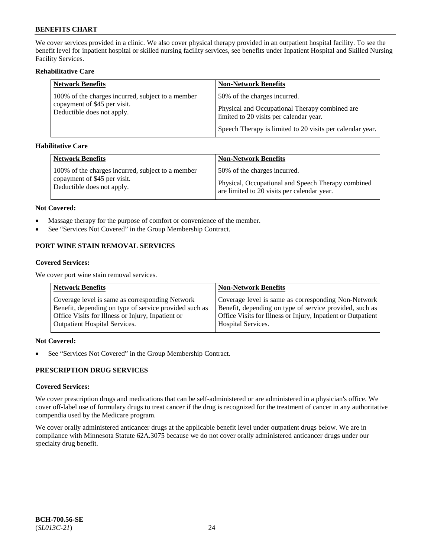We cover services provided in a clinic. We also cover physical therapy provided in an outpatient hospital facility. To see the benefit level for inpatient hospital or skilled nursing facility services, see benefits under Inpatient Hospital and Skilled Nursing Facility Services.

# **Rehabilitative Care**

| <b>Network Benefits</b>                                    | <b>Non-Network Benefits</b>                                                               |
|------------------------------------------------------------|-------------------------------------------------------------------------------------------|
| 100% of the charges incurred, subject to a member          | 50% of the charges incurred.                                                              |
| copayment of \$45 per visit.<br>Deductible does not apply. | Physical and Occupational Therapy combined are<br>limited to 20 visits per calendar year. |
|                                                            | Speech Therapy is limited to 20 visits per calendar year.                                 |

# **Habilitative Care**

| <b>Network Benefits</b>                           | <b>Non-Network Benefits</b>                        |
|---------------------------------------------------|----------------------------------------------------|
| 100% of the charges incurred, subject to a member | 50% of the charges incurred.                       |
| copayment of \$45 per visit.                      | Physical, Occupational and Speech Therapy combined |
| Deductible does not apply.                        | are limited to 20 visits per calendar year.        |

#### **Not Covered:**

- Massage therapy for the purpose of comfort or convenience of the member.
- See "Services Not Covered" in the Group Membership Contract.

# **PORT WINE STAIN REMOVAL SERVICES**

#### **Covered Services:**

We cover port wine stain removal services.

| <b>Network Benefits</b>                                | <b>Non-Network Benefits</b>                                  |
|--------------------------------------------------------|--------------------------------------------------------------|
| Coverage level is same as corresponding Network        | Coverage level is same as corresponding Non-Network          |
| Benefit, depending on type of service provided such as | Benefit, depending on type of service provided, such as      |
| Office Visits for Illness or Injury, Inpatient or      | Office Visits for Illness or Injury, Inpatient or Outpatient |
| <b>Outpatient Hospital Services.</b>                   | <b>Hospital Services.</b>                                    |

# **Not Covered:**

• See "Services Not Covered" in the Group Membership Contract.

# **PRESCRIPTION DRUG SERVICES**

# **Covered Services:**

We cover prescription drugs and medications that can be self-administered or are administered in a physician's office. We cover off-label use of formulary drugs to treat cancer if the drug is recognized for the treatment of cancer in any authoritative compendia used by the Medicare program.

We cover orally administered anticancer drugs at the applicable benefit level under outpatient drugs below. We are in compliance with Minnesota Statute 62A.3075 because we do not cover orally administered anticancer drugs under our specialty drug benefit.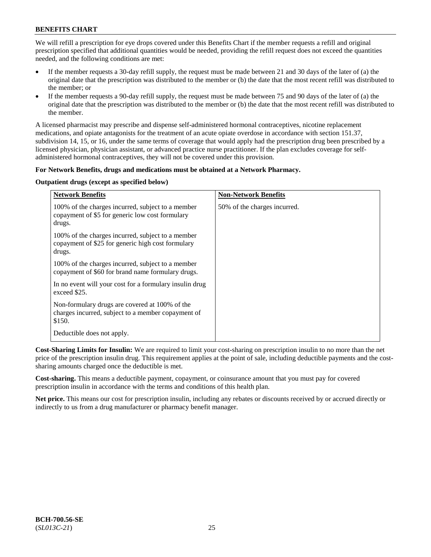We will refill a prescription for eye drops covered under this Benefits Chart if the member requests a refill and original prescription specified that additional quantities would be needed, providing the refill request does not exceed the quantities needed, and the following conditions are met:

- If the member requests a 30-day refill supply, the request must be made between 21 and 30 days of the later of (a) the original date that the prescription was distributed to the member or (b) the date that the most recent refill was distributed to the member; or
- If the member requests a 90-day refill supply, the request must be made between 75 and 90 days of the later of (a) the original date that the prescription was distributed to the member or (b) the date that the most recent refill was distributed to the member.

A licensed pharmacist may prescribe and dispense self-administered hormonal contraceptives, nicotine replacement medications, and opiate antagonists for the treatment of an acute opiate overdose in accordance with section 151.37, subdivision 14, 15, or 16, under the same terms of coverage that would apply had the prescription drug been prescribed by a licensed physician, physician assistant, or advanced practice nurse practitioner. If the plan excludes coverage for selfadministered hormonal contraceptives, they will not be covered under this provision.

# **For Network Benefits, drugs and medications must be obtained at a Network Pharmacy.**

# **Outpatient drugs (except as specified below)**

| <b>Network Benefits</b>                                                                                          | <b>Non-Network Benefits</b>  |
|------------------------------------------------------------------------------------------------------------------|------------------------------|
| 100% of the charges incurred, subject to a member<br>copayment of \$5 for generic low cost formulary<br>drugs.   | 50% of the charges incurred. |
| 100% of the charges incurred, subject to a member<br>copayment of \$25 for generic high cost formulary<br>drugs. |                              |
| 100% of the charges incurred, subject to a member<br>copayment of \$60 for brand name formulary drugs.           |                              |
| In no event will your cost for a formulary insulin drug<br>exceed \$25.                                          |                              |
| Non-formulary drugs are covered at 100% of the<br>charges incurred, subject to a member copayment of<br>\$150.   |                              |
| Deductible does not apply.                                                                                       |                              |

**Cost-Sharing Limits for Insulin:** We are required to limit your cost-sharing on prescription insulin to no more than the net price of the prescription insulin drug. This requirement applies at the point of sale, including deductible payments and the costsharing amounts charged once the deductible is met.

**Cost-sharing.** This means a deductible payment, copayment, or coinsurance amount that you must pay for covered prescription insulin in accordance with the terms and conditions of this health plan.

**Net price.** This means our cost for prescription insulin, including any rebates or discounts received by or accrued directly or indirectly to us from a drug manufacturer or pharmacy benefit manager.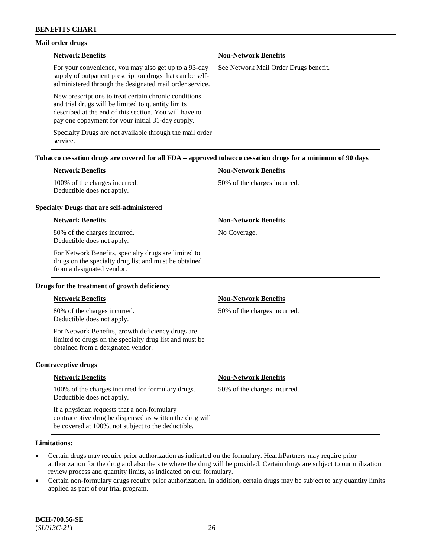# **Mail order drugs**

| <b>Network Benefits</b>                                                                                                                                                                                                    | <b>Non-Network Benefits</b>           |
|----------------------------------------------------------------------------------------------------------------------------------------------------------------------------------------------------------------------------|---------------------------------------|
| For your convenience, you may also get up to a 93-day<br>supply of outpatient prescription drugs that can be self-<br>administered through the designated mail order service.                                              | See Network Mail Order Drugs benefit. |
| New prescriptions to treat certain chronic conditions<br>and trial drugs will be limited to quantity limits<br>described at the end of this section. You will have to<br>pay one copayment for your initial 31-day supply. |                                       |
| Specialty Drugs are not available through the mail order<br>service.                                                                                                                                                       |                                       |

# **Tobacco cessation drugs are covered for all FDA – approved tobacco cessation drugs for a minimum of 90 days**

| Network Benefits                                            | <b>Non-Network Benefits</b>   |
|-------------------------------------------------------------|-------------------------------|
| 100% of the charges incurred.<br>Deductible does not apply. | 150% of the charges incurred. |

#### **Specialty Drugs that are self-administered**

| <b>Network Benefits</b>                                                                                                                    | <b>Non-Network Benefits</b> |
|--------------------------------------------------------------------------------------------------------------------------------------------|-----------------------------|
| 80% of the charges incurred.<br>Deductible does not apply.                                                                                 | No Coverage.                |
| For Network Benefits, specialty drugs are limited to<br>drugs on the specialty drug list and must be obtained<br>from a designated vendor. |                             |

#### **Drugs for the treatment of growth deficiency**

| <b>Network Benefits</b>                                                                                                                            | <b>Non-Network Benefits</b>  |
|----------------------------------------------------------------------------------------------------------------------------------------------------|------------------------------|
| 80% of the charges incurred.<br>Deductible does not apply.                                                                                         | 50% of the charges incurred. |
| For Network Benefits, growth deficiency drugs are<br>limited to drugs on the specialty drug list and must be<br>obtained from a designated vendor. |                              |

#### **Contraceptive drugs**

| <b>Network Benefits</b>                                                                                                                                        | <b>Non-Network Benefits</b>  |
|----------------------------------------------------------------------------------------------------------------------------------------------------------------|------------------------------|
| 100% of the charges incurred for formulary drugs.<br>Deductible does not apply.                                                                                | 50% of the charges incurred. |
| If a physician requests that a non-formulary<br>contraceptive drug be dispensed as written the drug will<br>be covered at 100%, not subject to the deductible. |                              |

# **Limitations:**

- Certain drugs may require prior authorization as indicated on the formulary. HealthPartners may require prior authorization for the drug and also the site where the drug will be provided. Certain drugs are subject to our utilization review process and quantity limits, as indicated on our formulary.
- Certain non-formulary drugs require prior authorization. In addition, certain drugs may be subject to any quantity limits applied as part of our trial program.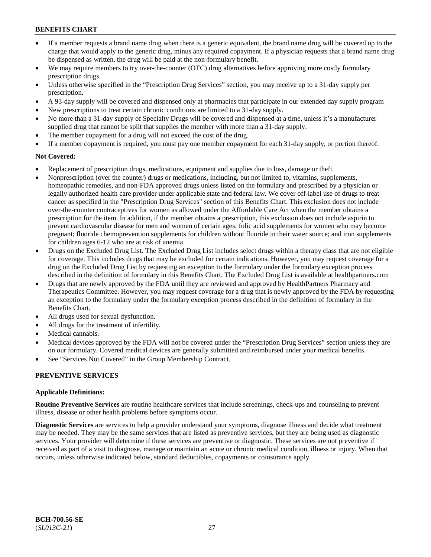- If a member requests a brand name drug when there is a generic equivalent, the brand name drug will be covered up to the charge that would apply to the generic drug, minus any required copayment. If a physician requests that a brand name drug be dispensed as written, the drug will be paid at the non-formulary benefit.
- We may require members to try over-the-counter (OTC) drug alternatives before approving more costly formulary prescription drugs.
- Unless otherwise specified in the "Prescription Drug Services" section, you may receive up to a 31-day supply per prescription.
- A 93-day supply will be covered and dispensed only at pharmacies that participate in our extended day supply program
- New prescriptions to treat certain chronic conditions are limited to a 31-day supply.
- No more than a 31-day supply of Specialty Drugs will be covered and dispensed at a time, unless it's a manufacturer supplied drug that cannot be split that supplies the member with more than a 31-day supply.
- The member copayment for a drug will not exceed the cost of the drug.
- If a member copayment is required, you must pay one member copayment for each 31-day supply, or portion thereof.

# **Not Covered:**

- Replacement of prescription drugs, medications, equipment and supplies due to loss, damage or theft.
- Nonprescription (over the counter) drugs or medications, including, but not limited to, vitamins, supplements, homeopathic remedies, and non-FDA approved drugs unless listed on the formulary and prescribed by a physician or legally authorized health care provider under applicable state and federal law. We cover off-label use of drugs to treat cancer as specified in the "Prescription Drug Services" section of this Benefits Chart. This exclusion does not include over-the-counter contraceptives for women as allowed under the Affordable Care Act when the member obtains a prescription for the item. In addition, if the member obtains a prescription, this exclusion does not include aspirin to prevent cardiovascular disease for men and women of certain ages; folic acid supplements for women who may become pregnant; fluoride chemoprevention supplements for children without fluoride in their water source; and iron supplements for children ages 6-12 who are at risk of anemia.
- Drugs on the Excluded Drug List. The Excluded Drug List includes select drugs within a therapy class that are not eligible for coverage. This includes drugs that may be excluded for certain indications. However, you may request coverage for a drug on the Excluded Drug List by requesting an exception to the formulary under the formulary exception process described in the definition of formulary in this Benefits Chart. The Excluded Drug List is available at [healthpartners.com](http://www.healthpartners.com/)
- Drugs that are newly approved by the FDA until they are reviewed and approved by HealthPartners Pharmacy and Therapeutics Committee. However, you may request coverage for a drug that is newly approved by the FDA by requesting an exception to the formulary under the formulary exception process described in the definition of formulary in the Benefits Chart.
- All drugs used for sexual dysfunction.
- All drugs for the treatment of infertility.
- Medical cannabis.
- Medical devices approved by the FDA will not be covered under the "Prescription Drug Services" section unless they are on our formulary. Covered medical devices are generally submitted and reimbursed under your medical benefits.
- See "Services Not Covered" in the Group Membership Contract.

# **PREVENTIVE SERVICES**

# **Applicable Definitions:**

**Routine Preventive Services** are routine healthcare services that include screenings, check-ups and counseling to prevent illness, disease or other health problems before symptoms occur.

**Diagnostic Services** are services to help a provider understand your symptoms, diagnose illness and decide what treatment may be needed. They may be the same services that are listed as preventive services, but they are being used as diagnostic services. Your provider will determine if these services are preventive or diagnostic. These services are not preventive if received as part of a visit to diagnose, manage or maintain an acute or chronic medical condition, illness or injury. When that occurs, unless otherwise indicated below, standard deductibles, copayments or coinsurance apply.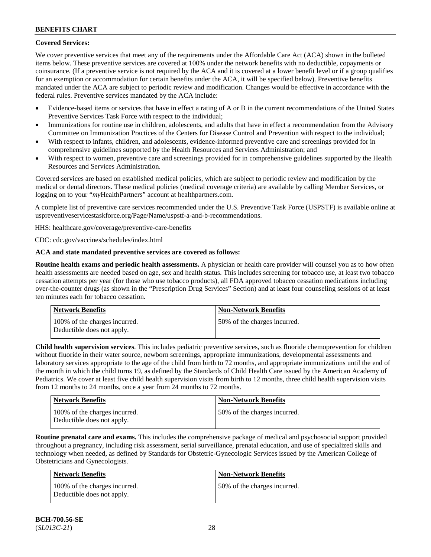# **Covered Services:**

We cover preventive services that meet any of the requirements under the Affordable Care Act (ACA) shown in the bulleted items below. These preventive services are covered at 100% under the network benefits with no deductible, copayments or coinsurance. (If a preventive service is not required by the ACA and it is covered at a lower benefit level or if a group qualifies for an exemption or accommodation for certain benefits under the ACA, it will be specified below). Preventive benefits mandated under the ACA are subject to periodic review and modification. Changes would be effective in accordance with the federal rules. Preventive services mandated by the ACA include:

- Evidence-based items or services that have in effect a rating of A or B in the current recommendations of the United States Preventive Services Task Force with respect to the individual;
- Immunizations for routine use in children, adolescents, and adults that have in effect a recommendation from the Advisory Committee on Immunization Practices of the Centers for Disease Control and Prevention with respect to the individual;
- With respect to infants, children, and adolescents, evidence-informed preventive care and screenings provided for in comprehensive guidelines supported by the Health Resources and Services Administration; and
- With respect to women, preventive care and screenings provided for in comprehensive guidelines supported by the Health Resources and Services Administration.

Covered services are based on established medical policies, which are subject to periodic review and modification by the medical or dental directors. These medical policies (medical coverage criteria) are available by calling Member Services, or logging on to your "*my*HealthPartners" account at [healthpartners.com.](http://www.healthpartners.com/)

A complete list of preventive care services recommended under the U.S. Preventive Task Force (USPSTF) is available online at [uspreventiveservicestaskforce.org/Page/Name/uspstf-a-and-b-recommendations.](https://www.uspreventiveservicestaskforce.org/Page/Name/uspstf-a-and-b-recommendations-by-date/)

HHS: [healthcare.gov/coverage/preventive-care-benefits](https://www.healthcare.gov/coverage/preventive-care-benefits/)

CDC: [cdc.gov/vaccines/schedules/index.html](https://www.cdc.gov/vaccines/schedules/index.html)

# **ACA and state mandated preventive services are covered as follows:**

**Routine health exams and periodic health assessments.** A physician or health care provider will counsel you as to how often health assessments are needed based on age, sex and health status. This includes screening for tobacco use, at least two tobacco cessation attempts per year (for those who use tobacco products), all FDA approved tobacco cessation medications including over-the-counter drugs (as shown in the "Prescription Drug Services" Section) and at least four counseling sessions of at least ten minutes each for tobacco cessation.

| Network Benefits                                            | <b>Non-Network Benefits</b>  |
|-------------------------------------------------------------|------------------------------|
| 100% of the charges incurred.<br>Deductible does not apply. | 50% of the charges incurred. |

**Child health supervision services**. This includes pediatric preventive services, such as fluoride chemoprevention for children without fluoride in their water source, newborn screenings, appropriate immunizations, developmental assessments and laboratory services appropriate to the age of the child from birth to 72 months, and appropriate immunizations until the end of the month in which the child turns 19, as defined by the Standards of Child Health Care issued by the American Academy of Pediatrics. We cover at least five child health supervision visits from birth to 12 months, three child health supervision visits from 12 months to 24 months, once a year from 24 months to 72 months.

| <b>Network Benefits</b>                                     | Non-Network Benefits         |
|-------------------------------------------------------------|------------------------------|
| 100% of the charges incurred.<br>Deductible does not apply. | 50% of the charges incurred. |

**Routine prenatal care and exams.** This includes the comprehensive package of medical and psychosocial support provided throughout a pregnancy, including risk assessment, serial surveillance, prenatal education, and use of specialized skills and technology when needed, as defined by Standards for Obstetric-Gynecologic Services issued by the American College of Obstetricians and Gynecologists.

| Network Benefits                                            | <b>Non-Network Benefits</b>  |
|-------------------------------------------------------------|------------------------------|
| 100% of the charges incurred.<br>Deductible does not apply. | 50% of the charges incurred. |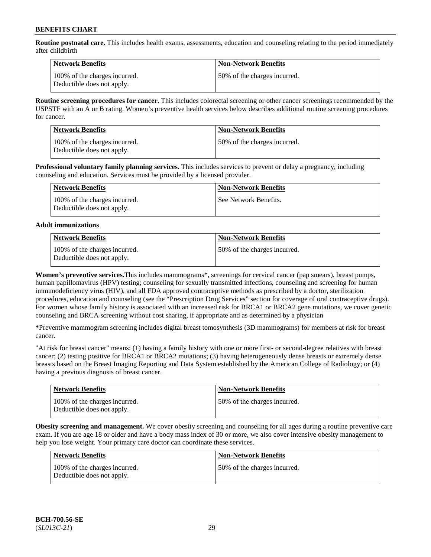**Routine postnatal care.** This includes health exams, assessments, education and counseling relating to the period immediately after childbirth

| Network Benefits                                            | <b>Non-Network Benefits</b>  |
|-------------------------------------------------------------|------------------------------|
| 100% of the charges incurred.<br>Deductible does not apply. | 50% of the charges incurred. |

**Routine screening procedures for cancer.** This includes colorectal screening or other cancer screenings recommended by the USPSTF with an A or B rating. Women's preventive health services below describes additional routine screening procedures for cancer.

| <b>Network Benefits</b>                                     | <b>Non-Network Benefits</b>  |
|-------------------------------------------------------------|------------------------------|
| 100% of the charges incurred.<br>Deductible does not apply. | 50% of the charges incurred. |

**Professional voluntary family planning services.** This includes services to prevent or delay a pregnancy, including counseling and education. Services must be provided by a licensed provider.

| Network Benefits                                            | <b>Non-Network Benefits</b> |
|-------------------------------------------------------------|-----------------------------|
| 100% of the charges incurred.<br>Deductible does not apply. | See Network Benefits.       |

### **Adult immunizations**

| <b>Network Benefits</b>                                     | <b>Non-Network Benefits</b>  |
|-------------------------------------------------------------|------------------------------|
| 100% of the charges incurred.<br>Deductible does not apply. | 50% of the charges incurred. |

**Women's preventive services.**This includes mammograms\*, screenings for cervical cancer (pap smears), breast pumps, human papillomavirus (HPV) testing; counseling for sexually transmitted infections, counseling and screening for human immunodeficiency virus (HIV), and all FDA approved contraceptive methods as prescribed by a doctor, sterilization procedures, education and counseling (see the "Prescription Drug Services" section for coverage of oral contraceptive drugs). For women whose family history is associated with an increased risk for BRCA1 or BRCA2 gene mutations, we cover genetic counseling and BRCA screening without cost sharing, if appropriate and as determined by a physician

**\***Preventive mammogram screening includes digital breast tomosynthesis (3D mammograms) for members at risk for breast cancer.

"At risk for breast cancer" means: (1) having a family history with one or more first- or second-degree relatives with breast cancer; (2) testing positive for BRCA1 or BRCA2 mutations; (3) having heterogeneously dense breasts or extremely dense breasts based on the Breast Imaging Reporting and Data System established by the American College of Radiology; or (4) having a previous diagnosis of breast cancer.

| <b>Network Benefits</b>                                     | <b>Non-Network Benefits</b>  |
|-------------------------------------------------------------|------------------------------|
| 100% of the charges incurred.<br>Deductible does not apply. | 50% of the charges incurred. |

**Obesity screening and management.** We cover obesity screening and counseling for all ages during a routine preventive care exam. If you are age 18 or older and have a body mass index of 30 or more, we also cover intensive obesity management to help you lose weight. Your primary care doctor can coordinate these services.

| <b>Network Benefits</b>                                     | <b>Non-Network Benefits</b>  |
|-------------------------------------------------------------|------------------------------|
| 100% of the charges incurred.<br>Deductible does not apply. | 50% of the charges incurred. |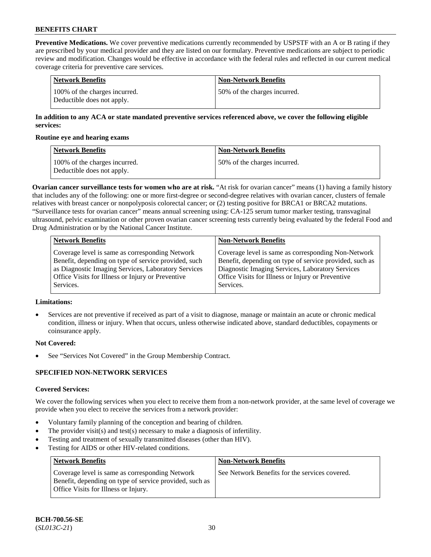**Preventive Medications.** We cover preventive medications currently recommended by USPSTF with an A or B rating if they are prescribed by your medical provider and they are listed on our formulary. Preventive medications are subject to periodic review and modification. Changes would be effective in accordance with the federal rules and reflected in our current medical coverage criteria for preventive care services.

| Network Benefits                                            | <b>Non-Network Benefits</b>  |
|-------------------------------------------------------------|------------------------------|
| 100% of the charges incurred.<br>Deductible does not apply. | 50% of the charges incurred. |

# **In addition to any ACA or state mandated preventive services referenced above, we cover the following eligible services:**

#### **Routine eye and hearing exams**

| <b>Network Benefits</b>                                     | <b>Non-Network Benefits</b>  |
|-------------------------------------------------------------|------------------------------|
| 100% of the charges incurred.<br>Deductible does not apply. | 50% of the charges incurred. |

**Ovarian cancer surveillance tests for women who are at risk.** "At risk for ovarian cancer" means (1) having a family history that includes any of the following: one or more first-degree or second-degree relatives with ovarian cancer, clusters of female relatives with breast cancer or nonpolyposis colorectal cancer; or (2) testing positive for BRCA1 or BRCA2 mutations. "Surveillance tests for ovarian cancer" means annual screening using: CA-125 serum tumor marker testing, transvaginal ultrasound, pelvic examination or other proven ovarian cancer screening tests currently being evaluated by the federal Food and Drug Administration or by the National Cancer Institute.

| <b>Network Benefits</b>                              | <b>Non-Network Benefits</b>                             |
|------------------------------------------------------|---------------------------------------------------------|
| Coverage level is same as corresponding Network      | Coverage level is same as corresponding Non-Network     |
| Benefit, depending on type of service provided, such | Benefit, depending on type of service provided, such as |
| as Diagnostic Imaging Services, Laboratory Services  | Diagnostic Imaging Services, Laboratory Services        |
| Office Visits for Illness or Injury or Preventive    | Office Visits for Illness or Injury or Preventive       |
| Services.                                            | Services.                                               |

# **Limitations:**

• Services are not preventive if received as part of a visit to diagnose, manage or maintain an acute or chronic medical condition, illness or injury. When that occurs, unless otherwise indicated above, standard deductibles, copayments or coinsurance apply.

# **Not Covered:**

See "Services Not Covered" in the Group Membership Contract.

# **SPECIFIED NON-NETWORK SERVICES**

# **Covered Services:**

We cover the following services when you elect to receive them from a non-network provider, at the same level of coverage we provide when you elect to receive the services from a network provider:

- Voluntary family planning of the conception and bearing of children.
- The provider visit(s) and test(s) necessary to make a diagnosis of infertility.
- Testing and treatment of sexually transmitted diseases (other than HIV).
- Testing for AIDS or other HIV-related conditions.

| <b>Network Benefits</b>                                                                                                                            | <b>Non-Network Benefits</b>                    |
|----------------------------------------------------------------------------------------------------------------------------------------------------|------------------------------------------------|
| Coverage level is same as corresponding Network<br>Benefit, depending on type of service provided, such as<br>Office Visits for Illness or Injury. | See Network Benefits for the services covered. |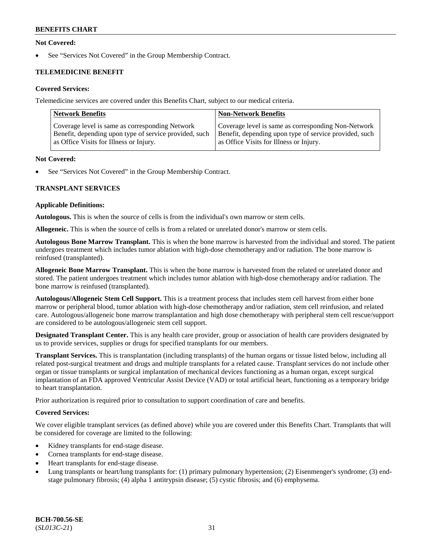# **Not Covered:**

See "Services Not Covered" in the Group Membership Contract.

# **TELEMEDICINE BENEFIT**

# **Covered Services:**

Telemedicine services are covered under this Benefits Chart, subject to our medical criteria.

| <b>Network Benefits</b>                                | <b>Non-Network Benefits</b>                            |
|--------------------------------------------------------|--------------------------------------------------------|
| Coverage level is same as corresponding Network        | Coverage level is same as corresponding Non-Network    |
| Benefit, depending upon type of service provided, such | Benefit, depending upon type of service provided, such |
| as Office Visits for Illness or Injury.                | as Office Visits for Illness or Injury.                |

#### **Not Covered:**

See "Services Not Covered" in the Group Membership Contract.

# **TRANSPLANT SERVICES**

#### **Applicable Definitions:**

**Autologous.** This is when the source of cells is from the individual's own marrow or stem cells.

**Allogeneic.** This is when the source of cells is from a related or unrelated donor's marrow or stem cells.

**Autologous Bone Marrow Transplant.** This is when the bone marrow is harvested from the individual and stored. The patient undergoes treatment which includes tumor ablation with high-dose chemotherapy and/or radiation. The bone marrow is reinfused (transplanted).

**Allogeneic Bone Marrow Transplant.** This is when the bone marrow is harvested from the related or unrelated donor and stored. The patient undergoes treatment which includes tumor ablation with high-dose chemotherapy and/or radiation. The bone marrow is reinfused (transplanted).

**Autologous/Allogeneic Stem Cell Support.** This is a treatment process that includes stem cell harvest from either bone marrow or peripheral blood, tumor ablation with high-dose chemotherapy and/or radiation, stem cell reinfusion, and related care. Autologous/allogeneic bone marrow transplantation and high dose chemotherapy with peripheral stem cell rescue/support are considered to be autologous/allogeneic stem cell support.

**Designated Transplant Center.** This is any health care provider, group or association of health care providers designated by us to provide services, supplies or drugs for specified transplants for our members.

**Transplant Services.** This is transplantation (including transplants) of the human organs or tissue listed below, including all related post-surgical treatment and drugs and multiple transplants for a related cause. Transplant services do not include other organ or tissue transplants or surgical implantation of mechanical devices functioning as a human organ, except surgical implantation of an FDA approved Ventricular Assist Device (VAD) or total artificial heart, functioning as a temporary bridge to heart transplantation.

Prior authorization is required prior to consultation to support coordination of care and benefits.

# **Covered Services:**

We cover eligible transplant services (as defined above) while you are covered under this Benefits Chart. Transplants that will be considered for coverage are limited to the following:

- Kidney transplants for end-stage disease.
- Cornea transplants for end-stage disease.
- Heart transplants for end-stage disease.
- Lung transplants or heart/lung transplants for: (1) primary pulmonary hypertension; (2) Eisenmenger's syndrome; (3) endstage pulmonary fibrosis; (4) alpha 1 antitrypsin disease; (5) cystic fibrosis; and (6) emphysema.